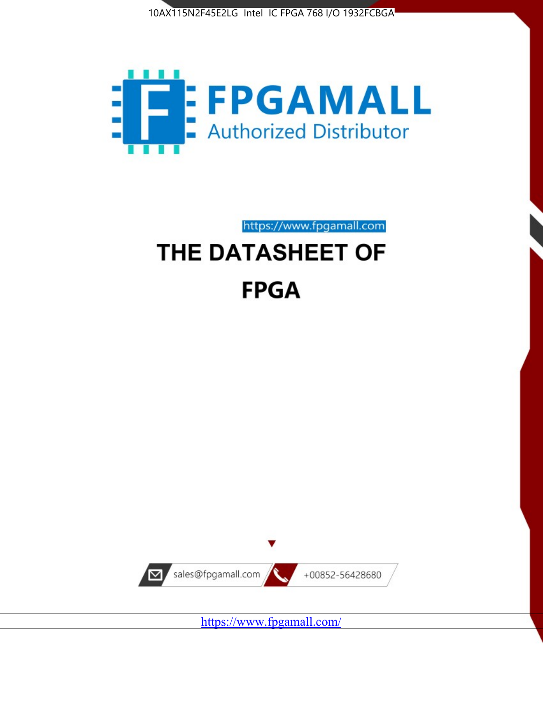



https://www.fpgamall.com

# THE DATASHEET OF **FPGA**



<https://www.fpgamall.com/>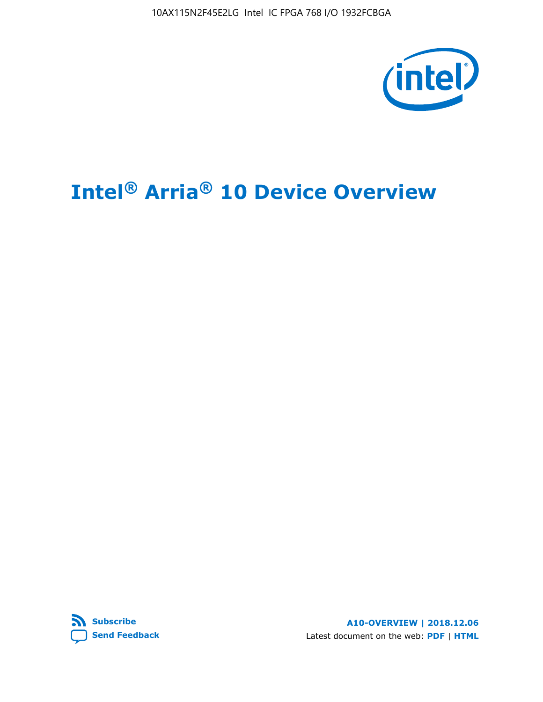10AX115N2F45E2LG Intel IC FPGA 768 I/O 1932FCBGA



# **Intel® Arria® 10 Device Overview**



**A10-OVERVIEW | 2018.12.06** Latest document on the web: **[PDF](https://www.intel.com/content/dam/www/programmable/us/en/pdfs/literature/hb/arria-10/a10_overview.pdf)** | **[HTML](https://www.intel.com/content/www/us/en/programmable/documentation/sam1403480274650.html)**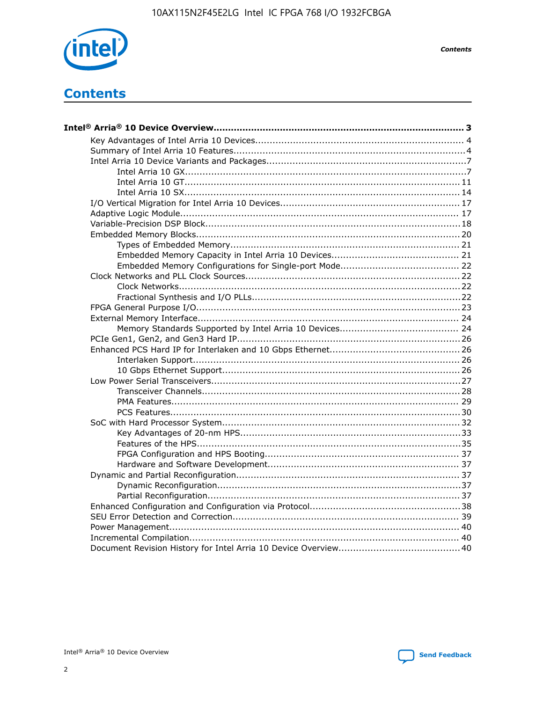

**Contents** 

# **Contents**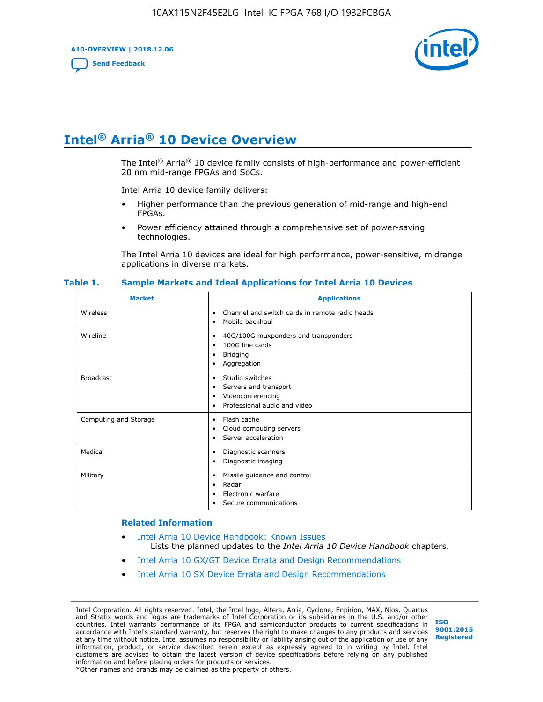**A10-OVERVIEW | 2018.12.06**

**[Send Feedback](mailto:FPGAtechdocfeedback@intel.com?subject=Feedback%20on%20Intel%20Arria%2010%20Device%20Overview%20(A10-OVERVIEW%202018.12.06)&body=We%20appreciate%20your%20feedback.%20In%20your%20comments,%20also%20specify%20the%20page%20number%20or%20paragraph.%20Thank%20you.)**



# **Intel® Arria® 10 Device Overview**

The Intel<sup>®</sup> Arria<sup>®</sup> 10 device family consists of high-performance and power-efficient 20 nm mid-range FPGAs and SoCs.

Intel Arria 10 device family delivers:

- Higher performance than the previous generation of mid-range and high-end FPGAs.
- Power efficiency attained through a comprehensive set of power-saving technologies.

The Intel Arria 10 devices are ideal for high performance, power-sensitive, midrange applications in diverse markets.

| <b>Market</b>         | <b>Applications</b>                                                                                               |
|-----------------------|-------------------------------------------------------------------------------------------------------------------|
| Wireless              | Channel and switch cards in remote radio heads<br>٠<br>Mobile backhaul<br>٠                                       |
| Wireline              | 40G/100G muxponders and transponders<br>٠<br>100G line cards<br>٠<br><b>Bridging</b><br>٠<br>Aggregation<br>٠     |
| <b>Broadcast</b>      | Studio switches<br>٠<br>Servers and transport<br>٠<br>Videoconferencing<br>٠<br>Professional audio and video<br>٠ |
| Computing and Storage | Flash cache<br>٠<br>Cloud computing servers<br>٠<br>Server acceleration<br>٠                                      |
| Medical               | Diagnostic scanners<br>٠<br>Diagnostic imaging<br>٠                                                               |
| Military              | Missile guidance and control<br>٠<br>Radar<br>٠<br>Electronic warfare<br>٠<br>Secure communications<br>٠          |

#### **Table 1. Sample Markets and Ideal Applications for Intel Arria 10 Devices**

#### **Related Information**

- [Intel Arria 10 Device Handbook: Known Issues](http://www.altera.com/support/kdb/solutions/rd07302013_646.html) Lists the planned updates to the *Intel Arria 10 Device Handbook* chapters.
- [Intel Arria 10 GX/GT Device Errata and Design Recommendations](https://www.intel.com/content/www/us/en/programmable/documentation/agz1493851706374.html#yqz1494433888646)
- [Intel Arria 10 SX Device Errata and Design Recommendations](https://www.intel.com/content/www/us/en/programmable/documentation/cru1462832385668.html#cru1462832558642)

Intel Corporation. All rights reserved. Intel, the Intel logo, Altera, Arria, Cyclone, Enpirion, MAX, Nios, Quartus and Stratix words and logos are trademarks of Intel Corporation or its subsidiaries in the U.S. and/or other countries. Intel warrants performance of its FPGA and semiconductor products to current specifications in accordance with Intel's standard warranty, but reserves the right to make changes to any products and services at any time without notice. Intel assumes no responsibility or liability arising out of the application or use of any information, product, or service described herein except as expressly agreed to in writing by Intel. Intel customers are advised to obtain the latest version of device specifications before relying on any published information and before placing orders for products or services. \*Other names and brands may be claimed as the property of others.

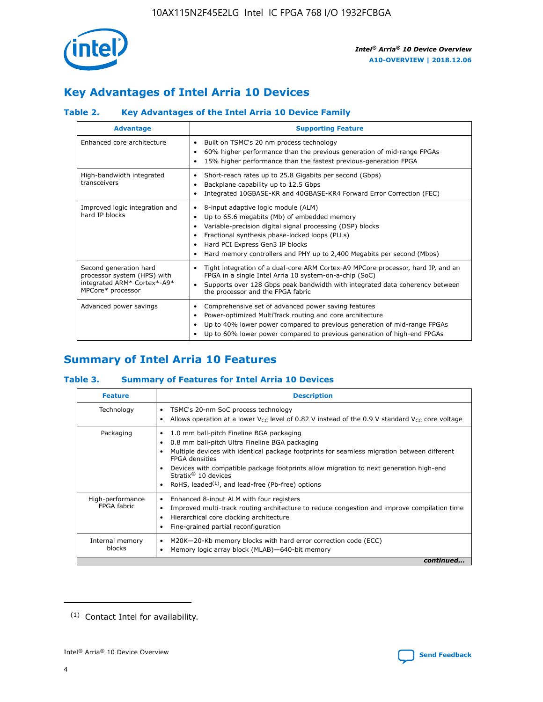

# **Key Advantages of Intel Arria 10 Devices**

## **Table 2. Key Advantages of the Intel Arria 10 Device Family**

| <b>Advantage</b>                                                                                          | <b>Supporting Feature</b>                                                                                                                                                                                                                                                                                                |
|-----------------------------------------------------------------------------------------------------------|--------------------------------------------------------------------------------------------------------------------------------------------------------------------------------------------------------------------------------------------------------------------------------------------------------------------------|
| Enhanced core architecture                                                                                | Built on TSMC's 20 nm process technology<br>٠<br>60% higher performance than the previous generation of mid-range FPGAs<br>٠<br>15% higher performance than the fastest previous-generation FPGA<br>٠                                                                                                                    |
| High-bandwidth integrated<br>transceivers                                                                 | Short-reach rates up to 25.8 Gigabits per second (Gbps)<br>٠<br>Backplane capability up to 12.5 Gbps<br>٠<br>Integrated 10GBASE-KR and 40GBASE-KR4 Forward Error Correction (FEC)<br>٠                                                                                                                                   |
| Improved logic integration and<br>hard IP blocks                                                          | 8-input adaptive logic module (ALM)<br>٠<br>Up to 65.6 megabits (Mb) of embedded memory<br>٠<br>Variable-precision digital signal processing (DSP) blocks<br>Fractional synthesis phase-locked loops (PLLs)<br>Hard PCI Express Gen3 IP blocks<br>Hard memory controllers and PHY up to 2,400 Megabits per second (Mbps) |
| Second generation hard<br>processor system (HPS) with<br>integrated ARM* Cortex*-A9*<br>MPCore* processor | Tight integration of a dual-core ARM Cortex-A9 MPCore processor, hard IP, and an<br>٠<br>FPGA in a single Intel Arria 10 system-on-a-chip (SoC)<br>Supports over 128 Gbps peak bandwidth with integrated data coherency between<br>$\bullet$<br>the processor and the FPGA fabric                                        |
| Advanced power savings                                                                                    | Comprehensive set of advanced power saving features<br>٠<br>Power-optimized MultiTrack routing and core architecture<br>٠<br>Up to 40% lower power compared to previous generation of mid-range FPGAs<br>Up to 60% lower power compared to previous generation of high-end FPGAs                                         |

# **Summary of Intel Arria 10 Features**

## **Table 3. Summary of Features for Intel Arria 10 Devices**

| <b>Feature</b>                  | <b>Description</b>                                                                                                                                                                                                                                                                                                                                                                                           |
|---------------------------------|--------------------------------------------------------------------------------------------------------------------------------------------------------------------------------------------------------------------------------------------------------------------------------------------------------------------------------------------------------------------------------------------------------------|
| Technology                      | TSMC's 20-nm SoC process technology<br>Allows operation at a lower $V_{\text{CC}}$ level of 0.82 V instead of the 0.9 V standard $V_{\text{CC}}$ core voltage                                                                                                                                                                                                                                                |
| Packaging                       | 1.0 mm ball-pitch Fineline BGA packaging<br>٠<br>0.8 mm ball-pitch Ultra Fineline BGA packaging<br>Multiple devices with identical package footprints for seamless migration between different<br><b>FPGA</b> densities<br>Devices with compatible package footprints allow migration to next generation high-end<br>Stratix <sup>®</sup> 10 devices<br>RoHS, leaded $(1)$ , and lead-free (Pb-free) options |
| High-performance<br>FPGA fabric | Enhanced 8-input ALM with four registers<br>Improved multi-track routing architecture to reduce congestion and improve compilation time<br>Hierarchical core clocking architecture<br>Fine-grained partial reconfiguration                                                                                                                                                                                   |
| Internal memory<br>blocks       | M20K-20-Kb memory blocks with hard error correction code (ECC)<br>Memory logic array block (MLAB)-640-bit memory                                                                                                                                                                                                                                                                                             |
|                                 | continued                                                                                                                                                                                                                                                                                                                                                                                                    |



<sup>(1)</sup> Contact Intel for availability.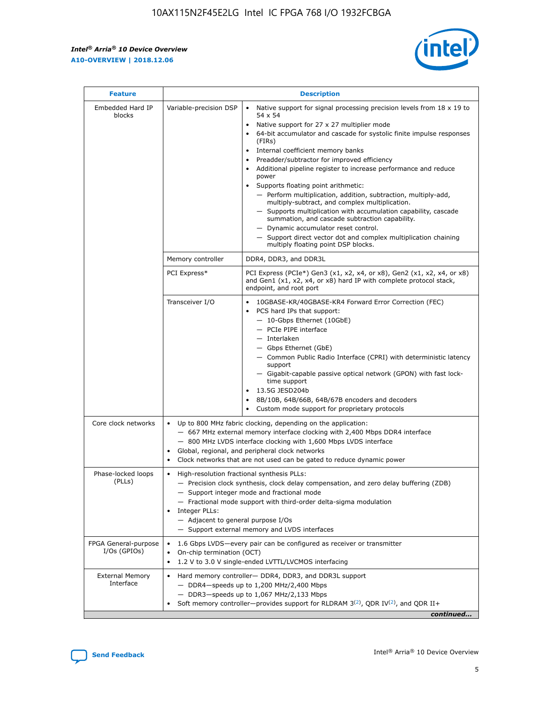r



| <b>Feature</b>                         | <b>Description</b>                                                                                             |                                                                                                                                                                                                                                                                                                                                                                                                                                                                                                                                                                                                                                                                                                                                                                                                                                                                  |  |  |  |  |  |
|----------------------------------------|----------------------------------------------------------------------------------------------------------------|------------------------------------------------------------------------------------------------------------------------------------------------------------------------------------------------------------------------------------------------------------------------------------------------------------------------------------------------------------------------------------------------------------------------------------------------------------------------------------------------------------------------------------------------------------------------------------------------------------------------------------------------------------------------------------------------------------------------------------------------------------------------------------------------------------------------------------------------------------------|--|--|--|--|--|
| Embedded Hard IP<br>blocks             | Variable-precision DSP                                                                                         | Native support for signal processing precision levels from $18 \times 19$ to<br>$\bullet$<br>54 x 54<br>Native support for 27 x 27 multiplier mode<br>$\bullet$<br>64-bit accumulator and cascade for systolic finite impulse responses<br>(FIRs)<br>Internal coefficient memory banks<br>$\bullet$<br>Preadder/subtractor for improved efficiency<br>Additional pipeline register to increase performance and reduce<br>power<br>Supports floating point arithmetic:<br>- Perform multiplication, addition, subtraction, multiply-add,<br>multiply-subtract, and complex multiplication.<br>- Supports multiplication with accumulation capability, cascade<br>summation, and cascade subtraction capability.<br>- Dynamic accumulator reset control.<br>- Support direct vector dot and complex multiplication chaining<br>multiply floating point DSP blocks. |  |  |  |  |  |
|                                        | Memory controller                                                                                              | DDR4, DDR3, and DDR3L                                                                                                                                                                                                                                                                                                                                                                                                                                                                                                                                                                                                                                                                                                                                                                                                                                            |  |  |  |  |  |
|                                        | PCI Express*                                                                                                   | PCI Express (PCIe*) Gen3 (x1, x2, x4, or x8), Gen2 (x1, x2, x4, or x8)<br>and Gen1 (x1, x2, x4, or x8) hard IP with complete protocol stack,<br>endpoint, and root port                                                                                                                                                                                                                                                                                                                                                                                                                                                                                                                                                                                                                                                                                          |  |  |  |  |  |
|                                        | Transceiver I/O                                                                                                | 10GBASE-KR/40GBASE-KR4 Forward Error Correction (FEC)<br>PCS hard IPs that support:<br>- 10-Gbps Ethernet (10GbE)<br>- PCIe PIPE interface<br>- Interlaken<br>- Gbps Ethernet (GbE)<br>- Common Public Radio Interface (CPRI) with deterministic latency<br>support<br>- Gigabit-capable passive optical network (GPON) with fast lock-<br>time support<br>13.5G JESD204b<br>$\bullet$<br>8B/10B, 64B/66B, 64B/67B encoders and decoders<br>Custom mode support for proprietary protocols                                                                                                                                                                                                                                                                                                                                                                        |  |  |  |  |  |
| Core clock networks                    | $\bullet$                                                                                                      | Up to 800 MHz fabric clocking, depending on the application:<br>- 667 MHz external memory interface clocking with 2,400 Mbps DDR4 interface<br>- 800 MHz LVDS interface clocking with 1,600 Mbps LVDS interface<br>Global, regional, and peripheral clock networks<br>Clock networks that are not used can be gated to reduce dynamic power                                                                                                                                                                                                                                                                                                                                                                                                                                                                                                                      |  |  |  |  |  |
| Phase-locked loops<br>(PLLs)           | High-resolution fractional synthesis PLLs:<br>$\bullet$<br>Integer PLLs:<br>- Adjacent to general purpose I/Os | - Precision clock synthesis, clock delay compensation, and zero delay buffering (ZDB)<br>- Support integer mode and fractional mode<br>- Fractional mode support with third-order delta-sigma modulation<br>- Support external memory and LVDS interfaces                                                                                                                                                                                                                                                                                                                                                                                                                                                                                                                                                                                                        |  |  |  |  |  |
| FPGA General-purpose<br>$I/Os$ (GPIOs) | On-chip termination (OCT)<br>$\bullet$                                                                         | 1.6 Gbps LVDS-every pair can be configured as receiver or transmitter<br>1.2 V to 3.0 V single-ended LVTTL/LVCMOS interfacing                                                                                                                                                                                                                                                                                                                                                                                                                                                                                                                                                                                                                                                                                                                                    |  |  |  |  |  |
| <b>External Memory</b><br>Interface    | $\bullet$                                                                                                      | Hard memory controller- DDR4, DDR3, and DDR3L support<br>$-$ DDR4-speeds up to 1,200 MHz/2,400 Mbps<br>- DDR3-speeds up to 1,067 MHz/2,133 Mbps<br>Soft memory controller—provides support for RLDRAM $3^{(2)}$ , QDR IV $^{(2)}$ , and QDR II+<br>continued                                                                                                                                                                                                                                                                                                                                                                                                                                                                                                                                                                                                     |  |  |  |  |  |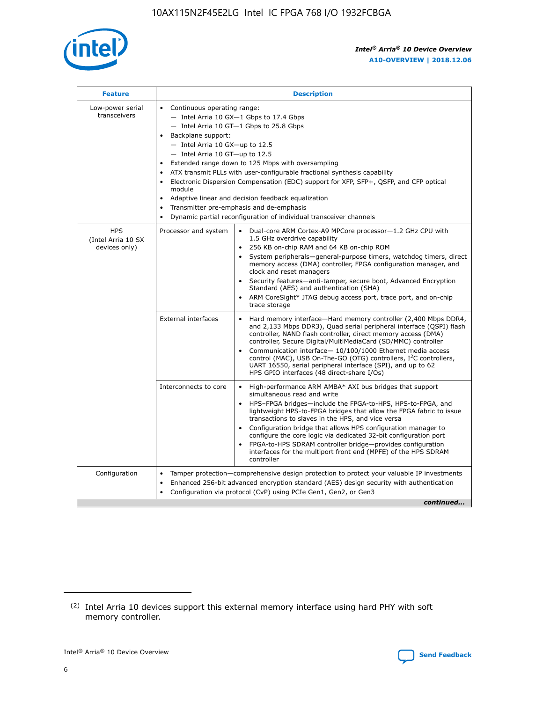

| <b>Feature</b>                                    | <b>Description</b>                                                                                                                                                                                                                                                                                                                                                                                                                                                                                                                                                                                                                             |
|---------------------------------------------------|------------------------------------------------------------------------------------------------------------------------------------------------------------------------------------------------------------------------------------------------------------------------------------------------------------------------------------------------------------------------------------------------------------------------------------------------------------------------------------------------------------------------------------------------------------------------------------------------------------------------------------------------|
| Low-power serial<br>transceivers                  | • Continuous operating range:<br>- Intel Arria 10 GX-1 Gbps to 17.4 Gbps<br>- Intel Arria 10 GT-1 Gbps to 25.8 Gbps<br>Backplane support:<br>$-$ Intel Arria 10 GX-up to 12.5<br>$-$ Intel Arria 10 GT-up to 12.5<br>Extended range down to 125 Mbps with oversampling<br>ATX transmit PLLs with user-configurable fractional synthesis capability<br>• Electronic Dispersion Compensation (EDC) support for XFP, SFP+, QSFP, and CFP optical<br>module<br>• Adaptive linear and decision feedback equalization<br>Transmitter pre-emphasis and de-emphasis<br>$\bullet$<br>Dynamic partial reconfiguration of individual transceiver channels |
| <b>HPS</b><br>(Intel Arria 10 SX<br>devices only) | Processor and system<br>Dual-core ARM Cortex-A9 MPCore processor-1.2 GHz CPU with<br>$\bullet$<br>1.5 GHz overdrive capability<br>256 KB on-chip RAM and 64 KB on-chip ROM<br>$\bullet$<br>System peripherals-general-purpose timers, watchdog timers, direct<br>memory access (DMA) controller, FPGA configuration manager, and<br>clock and reset managers<br>• Security features—anti-tamper, secure boot, Advanced Encryption<br>Standard (AES) and authentication (SHA)<br>ARM CoreSight* JTAG debug access port, trace port, and on-chip<br>trace storage                                                                                |
|                                                   | <b>External interfaces</b><br>Hard memory interface—Hard memory controller (2,400 Mbps DDR4,<br>$\bullet$<br>and 2,133 Mbps DDR3), Quad serial peripheral interface (QSPI) flash<br>controller, NAND flash controller, direct memory access (DMA)<br>controller, Secure Digital/MultiMediaCard (SD/MMC) controller<br>Communication interface-10/100/1000 Ethernet media access<br>control (MAC), USB On-The-GO (OTG) controllers, I <sup>2</sup> C controllers,<br>UART 16550, serial peripheral interface (SPI), and up to 62<br>HPS GPIO interfaces (48 direct-share I/Os)                                                                  |
|                                                   | High-performance ARM AMBA* AXI bus bridges that support<br>Interconnects to core<br>$\bullet$<br>simultaneous read and write<br>HPS-FPGA bridges—include the FPGA-to-HPS, HPS-to-FPGA, and<br>$\bullet$<br>lightweight HPS-to-FPGA bridges that allow the FPGA fabric to issue<br>transactions to slaves in the HPS, and vice versa<br>Configuration bridge that allows HPS configuration manager to<br>configure the core logic via dedicated 32-bit configuration port<br>FPGA-to-HPS SDRAM controller bridge-provides configuration<br>interfaces for the multiport front end (MPFE) of the HPS SDRAM<br>controller                         |
| Configuration                                     | Tamper protection—comprehensive design protection to protect your valuable IP investments<br>Enhanced 256-bit advanced encryption standard (AES) design security with authentication<br>$\bullet$<br>Configuration via protocol (CvP) using PCIe Gen1, Gen2, or Gen3<br>continued                                                                                                                                                                                                                                                                                                                                                              |

<sup>(2)</sup> Intel Arria 10 devices support this external memory interface using hard PHY with soft memory controller.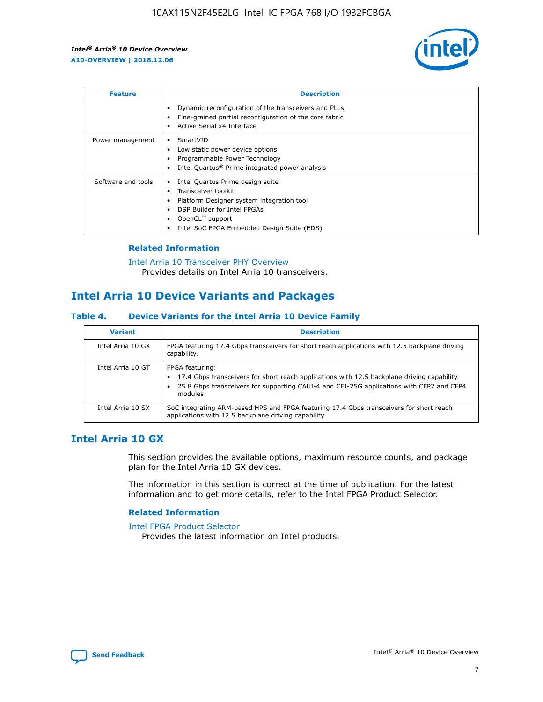

| <b>Feature</b>     | <b>Description</b>                                                                                                                                                                                               |
|--------------------|------------------------------------------------------------------------------------------------------------------------------------------------------------------------------------------------------------------|
|                    | Dynamic reconfiguration of the transceivers and PLLs<br>Fine-grained partial reconfiguration of the core fabric<br>Active Serial x4 Interface<br>$\bullet$                                                       |
| Power management   | SmartVID<br>Low static power device options<br>Programmable Power Technology<br>Intel Quartus <sup>®</sup> Prime integrated power analysis                                                                       |
| Software and tools | Intel Quartus Prime design suite<br>Transceiver toolkit<br>Platform Designer system integration tool<br>DSP Builder for Intel FPGAs<br>OpenCL <sup>™</sup> support<br>Intel SoC FPGA Embedded Design Suite (EDS) |

## **Related Information**

[Intel Arria 10 Transceiver PHY Overview](https://www.intel.com/content/www/us/en/programmable/documentation/nik1398707230472.html#nik1398706768037) Provides details on Intel Arria 10 transceivers.

## **Intel Arria 10 Device Variants and Packages**

#### **Table 4. Device Variants for the Intel Arria 10 Device Family**

| <b>Variant</b>    | <b>Description</b>                                                                                                                                                                                                     |
|-------------------|------------------------------------------------------------------------------------------------------------------------------------------------------------------------------------------------------------------------|
| Intel Arria 10 GX | FPGA featuring 17.4 Gbps transceivers for short reach applications with 12.5 backplane driving<br>capability.                                                                                                          |
| Intel Arria 10 GT | FPGA featuring:<br>17.4 Gbps transceivers for short reach applications with 12.5 backplane driving capability.<br>25.8 Gbps transceivers for supporting CAUI-4 and CEI-25G applications with CFP2 and CFP4<br>modules. |
| Intel Arria 10 SX | SoC integrating ARM-based HPS and FPGA featuring 17.4 Gbps transceivers for short reach<br>applications with 12.5 backplane driving capability.                                                                        |

## **Intel Arria 10 GX**

This section provides the available options, maximum resource counts, and package plan for the Intel Arria 10 GX devices.

The information in this section is correct at the time of publication. For the latest information and to get more details, refer to the Intel FPGA Product Selector.

## **Related Information**

#### [Intel FPGA Product Selector](http://www.altera.com/products/selector/psg-selector.html) Provides the latest information on Intel products.

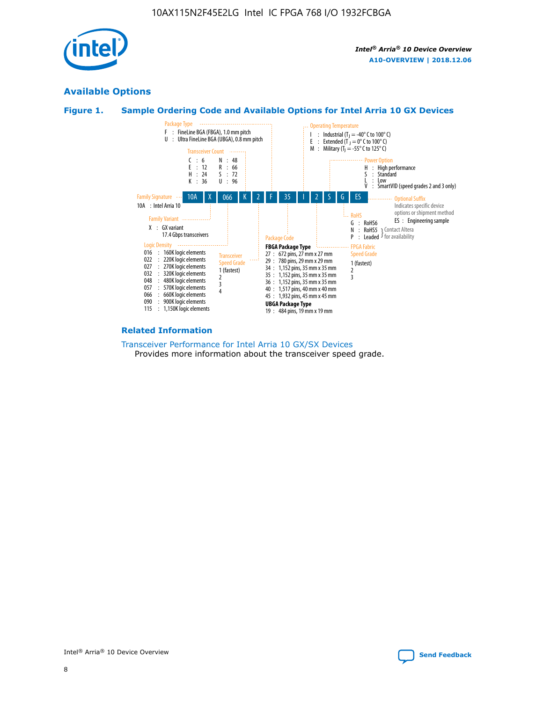

## **Available Options**





#### **Related Information**

[Transceiver Performance for Intel Arria 10 GX/SX Devices](https://www.intel.com/content/www/us/en/programmable/documentation/mcn1413182292568.html#mcn1413213965502) Provides more information about the transceiver speed grade.

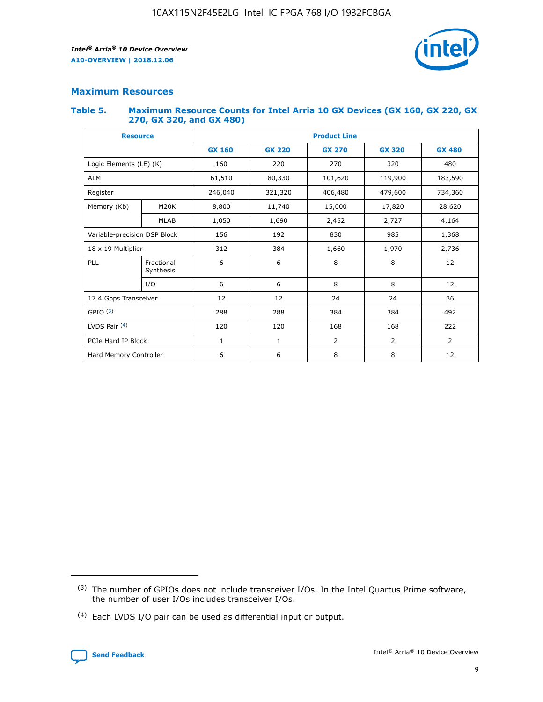

## **Maximum Resources**

#### **Table 5. Maximum Resource Counts for Intel Arria 10 GX Devices (GX 160, GX 220, GX 270, GX 320, and GX 480)**

| <b>Resource</b>         |                                                          | <b>Product Line</b> |                                |                |                |                |  |  |  |
|-------------------------|----------------------------------------------------------|---------------------|--------------------------------|----------------|----------------|----------------|--|--|--|
|                         |                                                          | <b>GX 160</b>       | <b>GX 220</b><br><b>GX 270</b> |                | <b>GX 320</b>  | <b>GX 480</b>  |  |  |  |
| Logic Elements (LE) (K) |                                                          | 160                 | 220                            | 270            | 320            | 480            |  |  |  |
| <b>ALM</b>              |                                                          | 61,510              | 80,330                         | 101,620        | 119,900        | 183,590        |  |  |  |
| Register                |                                                          | 246,040             | 321,320                        | 406,480        | 479,600        | 734,360        |  |  |  |
| Memory (Kb)             | M <sub>20</sub> K                                        | 8,800               | 11,740                         | 15,000         | 17,820         | 28,620         |  |  |  |
| <b>MLAB</b>             |                                                          | 1,050               | 1,690                          | 2,452          | 2,727          | 4,164          |  |  |  |
|                         | 192<br>830<br>985<br>Variable-precision DSP Block<br>156 |                     |                                |                | 1,368          |                |  |  |  |
| 18 x 19 Multiplier      |                                                          | 312                 | 384                            | 1,660          | 1,970          | 2,736          |  |  |  |
| PLL                     | Fractional<br>Synthesis                                  | 6                   | 6                              | 8              | 8              | 12             |  |  |  |
|                         | I/O                                                      | 6                   | 6                              | 8              | 8              | 12             |  |  |  |
| 17.4 Gbps Transceiver   |                                                          | 12                  | 12                             | 24             | 24             |                |  |  |  |
| GPIO <sup>(3)</sup>     |                                                          | 288                 | 288                            | 384<br>384     |                | 492            |  |  |  |
| LVDS Pair $(4)$         |                                                          | 120                 | 120                            | 168            | 168            | 222            |  |  |  |
| PCIe Hard IP Block      |                                                          | $\mathbf{1}$        | 1                              | $\overline{2}$ | $\overline{2}$ | $\overline{2}$ |  |  |  |
| Hard Memory Controller  |                                                          | 6                   | 6                              | 8              | 8              | 12             |  |  |  |

<sup>(4)</sup> Each LVDS I/O pair can be used as differential input or output.



<sup>(3)</sup> The number of GPIOs does not include transceiver I/Os. In the Intel Quartus Prime software, the number of user I/Os includes transceiver I/Os.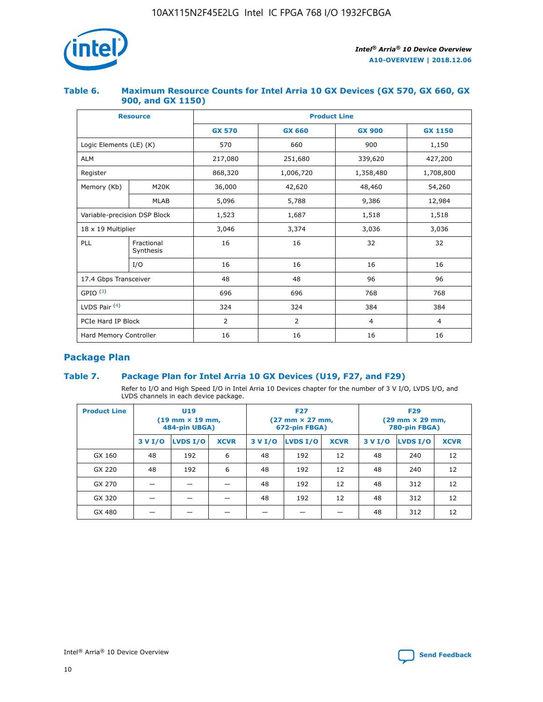

## **Table 6. Maximum Resource Counts for Intel Arria 10 GX Devices (GX 570, GX 660, GX 900, and GX 1150)**

|                              | <b>Resource</b>         | <b>Product Line</b> |                |                |                |  |  |  |
|------------------------------|-------------------------|---------------------|----------------|----------------|----------------|--|--|--|
|                              |                         | <b>GX 570</b>       | <b>GX 660</b>  |                | <b>GX 1150</b> |  |  |  |
| Logic Elements (LE) (K)      |                         | 570                 | 660            | 900            | 1,150          |  |  |  |
| <b>ALM</b>                   |                         | 217,080             | 251,680        | 339,620        | 427,200        |  |  |  |
| Register                     |                         | 868,320             | 1,006,720      | 1,358,480      | 1,708,800      |  |  |  |
| Memory (Kb)                  | <b>M20K</b>             | 36,000              | 42,620         | 48,460         | 54,260         |  |  |  |
|                              | <b>MLAB</b>             | 5,096               | 5,788          | 9,386          | 12,984         |  |  |  |
| Variable-precision DSP Block |                         | 1,523               | 1,687          | 1,518          | 1,518          |  |  |  |
| $18 \times 19$ Multiplier    |                         | 3,046               | 3,374          | 3,036          | 3,036          |  |  |  |
| PLL                          | Fractional<br>Synthesis | 16                  | 16             | 32             | 32             |  |  |  |
|                              | I/O                     | 16                  | 16             | 16             | 16             |  |  |  |
| 17.4 Gbps Transceiver        |                         | 48                  | 48<br>96       |                | 96             |  |  |  |
| GPIO <sup>(3)</sup>          |                         | 696                 | 696            | 768            | 768            |  |  |  |
| LVDS Pair $(4)$              |                         | 324                 | 324            | 384            | 384            |  |  |  |
| PCIe Hard IP Block           |                         | 2                   | $\overline{2}$ | $\overline{4}$ | 4              |  |  |  |
| Hard Memory Controller       |                         | 16                  | 16             | 16             | 16             |  |  |  |

## **Package Plan**

## **Table 7. Package Plan for Intel Arria 10 GX Devices (U19, F27, and F29)**

Refer to I/O and High Speed I/O in Intel Arria 10 Devices chapter for the number of 3 V I/O, LVDS I/O, and LVDS channels in each device package.

| <b>Product Line</b> | U <sub>19</sub><br>$(19 \text{ mm} \times 19 \text{ mm})$<br>484-pin UBGA) |          |             |         | <b>F27</b><br>(27 mm × 27 mm,<br>672-pin FBGA) |             | <b>F29</b><br>(29 mm × 29 mm,<br>780-pin FBGA) |          |             |  |
|---------------------|----------------------------------------------------------------------------|----------|-------------|---------|------------------------------------------------|-------------|------------------------------------------------|----------|-------------|--|
|                     | 3 V I/O                                                                    | LVDS I/O | <b>XCVR</b> | 3 V I/O | LVDS I/O                                       | <b>XCVR</b> | 3 V I/O                                        | LVDS I/O | <b>XCVR</b> |  |
| GX 160              | 48                                                                         | 192      | 6           | 48      | 192                                            | 12          | 48                                             | 240      | 12          |  |
| GX 220              | 48                                                                         | 192      | 6           | 48      | 192                                            | 12          | 48                                             | 240      | 12          |  |
| GX 270              |                                                                            |          |             | 48      | 192                                            | 12          | 48                                             | 312      | 12          |  |
| GX 320              |                                                                            |          |             | 48      | 192                                            | 12          | 48                                             | 312      | 12          |  |
| GX 480              |                                                                            |          |             |         |                                                |             | 48                                             | 312      | 12          |  |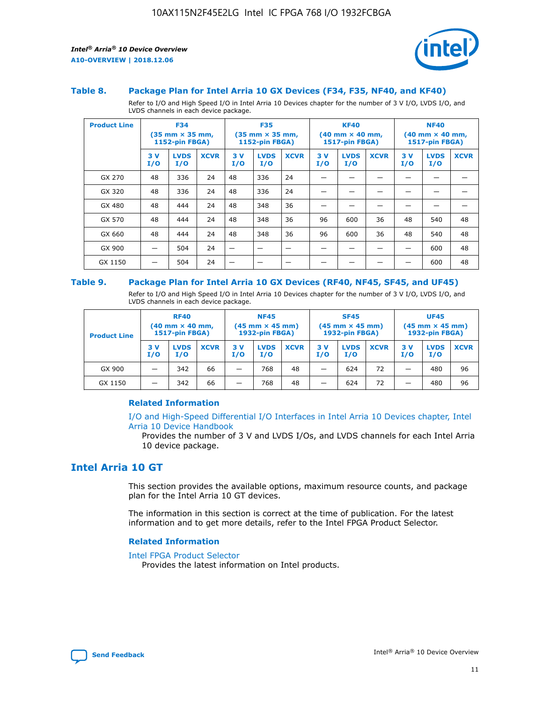

#### **Table 8. Package Plan for Intel Arria 10 GX Devices (F34, F35, NF40, and KF40)**

Refer to I/O and High Speed I/O in Intel Arria 10 Devices chapter for the number of 3 V I/O, LVDS I/O, and LVDS channels in each device package.

| <b>Product Line</b> | <b>F34</b><br>$(35 \text{ mm} \times 35 \text{ mm})$<br>1152-pin FBGA) |                    | <b>F35</b><br>$(35 \text{ mm} \times 35 \text{ mm})$<br><b>1152-pin FBGA)</b> |           | <b>KF40</b><br>$(40$ mm $\times$ 40 mm,<br>1517-pin FBGA) |             |           | <b>NF40</b><br>$(40$ mm $\times$ 40 mm,<br><b>1517-pin FBGA)</b> |             |            |                    |             |
|---------------------|------------------------------------------------------------------------|--------------------|-------------------------------------------------------------------------------|-----------|-----------------------------------------------------------|-------------|-----------|------------------------------------------------------------------|-------------|------------|--------------------|-------------|
|                     | 3V<br>I/O                                                              | <b>LVDS</b><br>I/O | <b>XCVR</b>                                                                   | 3V<br>I/O | <b>LVDS</b><br>I/O                                        | <b>XCVR</b> | 3V<br>I/O | <b>LVDS</b><br>I/O                                               | <b>XCVR</b> | 3 V<br>I/O | <b>LVDS</b><br>I/O | <b>XCVR</b> |
| GX 270              | 48                                                                     | 336                | 24                                                                            | 48        | 336                                                       | 24          |           |                                                                  |             |            |                    |             |
| GX 320              | 48                                                                     | 336                | 24                                                                            | 48        | 336                                                       | 24          |           |                                                                  |             |            |                    |             |
| GX 480              | 48                                                                     | 444                | 24                                                                            | 48        | 348                                                       | 36          |           |                                                                  |             |            |                    |             |
| GX 570              | 48                                                                     | 444                | 24                                                                            | 48        | 348                                                       | 36          | 96        | 600                                                              | 36          | 48         | 540                | 48          |
| GX 660              | 48                                                                     | 444                | 24                                                                            | 48        | 348                                                       | 36          | 96        | 600                                                              | 36          | 48         | 540                | 48          |
| GX 900              |                                                                        | 504                | 24                                                                            | -         |                                                           |             |           |                                                                  |             |            | 600                | 48          |
| GX 1150             |                                                                        | 504                | 24                                                                            |           |                                                           |             |           |                                                                  |             |            | 600                | 48          |

#### **Table 9. Package Plan for Intel Arria 10 GX Devices (RF40, NF45, SF45, and UF45)**

Refer to I/O and High Speed I/O in Intel Arria 10 Devices chapter for the number of 3 V I/O, LVDS I/O, and LVDS channels in each device package.

| <b>Product Line</b> | <b>RF40</b><br>$(40$ mm $\times$ 40 mm,<br>1517-pin FBGA) |                    |             | <b>NF45</b><br>$(45 \text{ mm} \times 45 \text{ mm})$<br><b>1932-pin FBGA)</b> |                    |             | <b>SF45</b><br>$(45 \text{ mm} \times 45 \text{ mm})$<br><b>1932-pin FBGA)</b> |                    |             | <b>UF45</b><br>$(45 \text{ mm} \times 45 \text{ mm})$<br><b>1932-pin FBGA)</b> |                    |             |
|---------------------|-----------------------------------------------------------|--------------------|-------------|--------------------------------------------------------------------------------|--------------------|-------------|--------------------------------------------------------------------------------|--------------------|-------------|--------------------------------------------------------------------------------|--------------------|-------------|
|                     | 3V<br>I/O                                                 | <b>LVDS</b><br>I/O | <b>XCVR</b> | 3 V<br>I/O                                                                     | <b>LVDS</b><br>I/O | <b>XCVR</b> | 3 V<br>I/O                                                                     | <b>LVDS</b><br>I/O | <b>XCVR</b> | 3V<br>I/O                                                                      | <b>LVDS</b><br>I/O | <b>XCVR</b> |
| GX 900              |                                                           | 342                | 66          | _                                                                              | 768                | 48          |                                                                                | 624                | 72          |                                                                                | 480                | 96          |
| GX 1150             |                                                           | 342                | 66          | _                                                                              | 768                | 48          |                                                                                | 624                | 72          |                                                                                | 480                | 96          |

## **Related Information**

[I/O and High-Speed Differential I/O Interfaces in Intel Arria 10 Devices chapter, Intel](https://www.intel.com/content/www/us/en/programmable/documentation/sam1403482614086.html#sam1403482030321) [Arria 10 Device Handbook](https://www.intel.com/content/www/us/en/programmable/documentation/sam1403482614086.html#sam1403482030321)

Provides the number of 3 V and LVDS I/Os, and LVDS channels for each Intel Arria 10 device package.

## **Intel Arria 10 GT**

This section provides the available options, maximum resource counts, and package plan for the Intel Arria 10 GT devices.

The information in this section is correct at the time of publication. For the latest information and to get more details, refer to the Intel FPGA Product Selector.

#### **Related Information**

#### [Intel FPGA Product Selector](http://www.altera.com/products/selector/psg-selector.html)

Provides the latest information on Intel products.

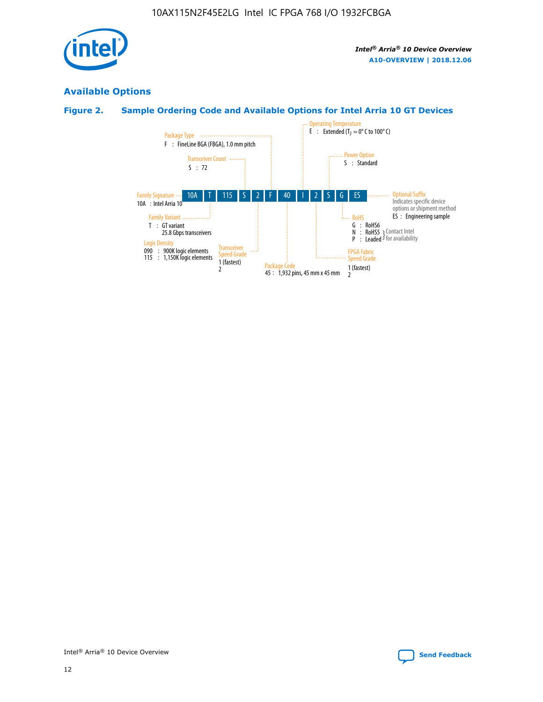

## **Available Options**

## **Figure 2. Sample Ordering Code and Available Options for Intel Arria 10 GT Devices**

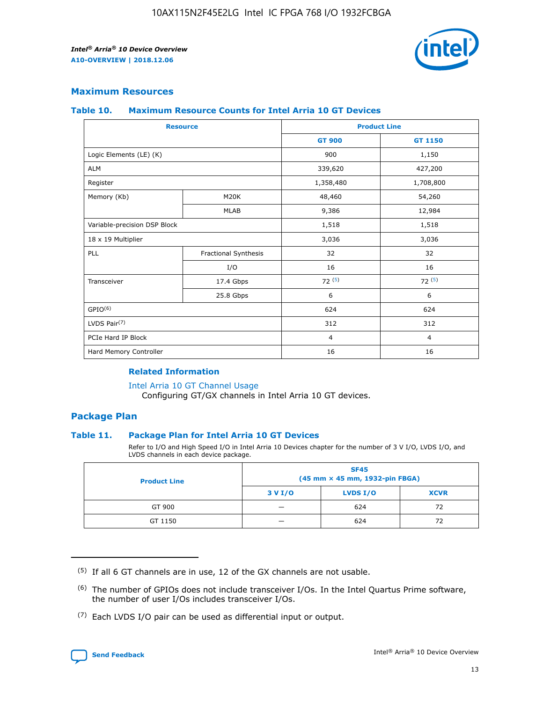

## **Maximum Resources**

#### **Table 10. Maximum Resource Counts for Intel Arria 10 GT Devices**

| <b>Resource</b>              |                      | <b>Product Line</b> |                |  |
|------------------------------|----------------------|---------------------|----------------|--|
|                              |                      | <b>GT 900</b>       | <b>GT 1150</b> |  |
| Logic Elements (LE) (K)      |                      | 900                 | 1,150          |  |
| <b>ALM</b>                   |                      | 339,620             | 427,200        |  |
| Register                     |                      | 1,358,480           | 1,708,800      |  |
| Memory (Kb)                  | M20K                 | 48,460              | 54,260         |  |
|                              | <b>MLAB</b>          | 9,386               | 12,984         |  |
| Variable-precision DSP Block |                      | 1,518               | 1,518          |  |
| 18 x 19 Multiplier           |                      | 3,036               | 3,036          |  |
| PLL                          | Fractional Synthesis | 32                  | 32             |  |
|                              | I/O                  | 16                  | 16             |  |
| Transceiver                  | 17.4 Gbps            | 72(5)               | 72(5)          |  |
|                              | 25.8 Gbps            | 6                   | 6              |  |
| GPIO <sup>(6)</sup>          |                      | 624                 | 624            |  |
| LVDS Pair $(7)$              |                      | 312                 | 312            |  |
| PCIe Hard IP Block           |                      | $\overline{4}$      | $\overline{4}$ |  |
| Hard Memory Controller       |                      | 16                  | 16             |  |

#### **Related Information**

#### [Intel Arria 10 GT Channel Usage](https://www.intel.com/content/www/us/en/programmable/documentation/nik1398707230472.html#nik1398707008178)

Configuring GT/GX channels in Intel Arria 10 GT devices.

## **Package Plan**

### **Table 11. Package Plan for Intel Arria 10 GT Devices**

Refer to I/O and High Speed I/O in Intel Arria 10 Devices chapter for the number of 3 V I/O, LVDS I/O, and LVDS channels in each device package.

| <b>Product Line</b> | <b>SF45</b><br>(45 mm × 45 mm, 1932-pin FBGA) |                 |             |  |  |  |
|---------------------|-----------------------------------------------|-----------------|-------------|--|--|--|
|                     | 3 V I/O                                       | <b>LVDS I/O</b> | <b>XCVR</b> |  |  |  |
| GT 900              |                                               | 624             | 72          |  |  |  |
| GT 1150             |                                               | 624             |             |  |  |  |

<sup>(7)</sup> Each LVDS I/O pair can be used as differential input or output.



 $(5)$  If all 6 GT channels are in use, 12 of the GX channels are not usable.

<sup>(6)</sup> The number of GPIOs does not include transceiver I/Os. In the Intel Quartus Prime software, the number of user I/Os includes transceiver I/Os.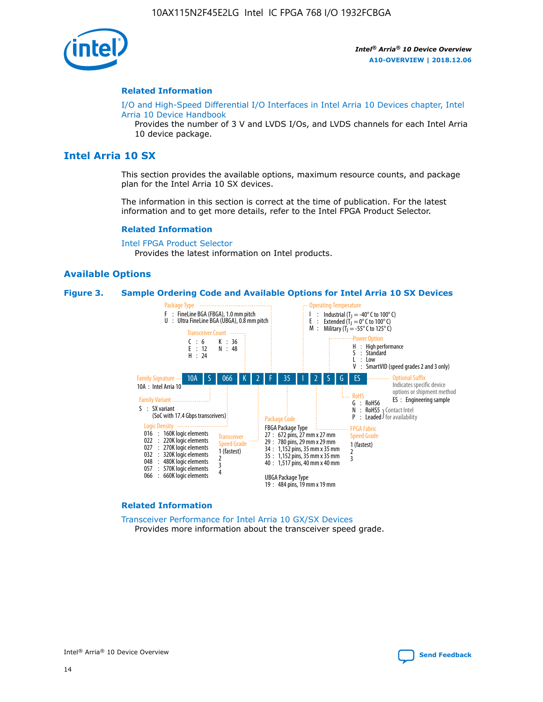

#### **Related Information**

[I/O and High-Speed Differential I/O Interfaces in Intel Arria 10 Devices chapter, Intel](https://www.intel.com/content/www/us/en/programmable/documentation/sam1403482614086.html#sam1403482030321) [Arria 10 Device Handbook](https://www.intel.com/content/www/us/en/programmable/documentation/sam1403482614086.html#sam1403482030321)

Provides the number of 3 V and LVDS I/Os, and LVDS channels for each Intel Arria 10 device package.

## **Intel Arria 10 SX**

This section provides the available options, maximum resource counts, and package plan for the Intel Arria 10 SX devices.

The information in this section is correct at the time of publication. For the latest information and to get more details, refer to the Intel FPGA Product Selector.

#### **Related Information**

[Intel FPGA Product Selector](http://www.altera.com/products/selector/psg-selector.html) Provides the latest information on Intel products.

### **Available Options**

#### **Figure 3. Sample Ordering Code and Available Options for Intel Arria 10 SX Devices**

![](_page_14_Figure_13.jpeg)

#### **Related Information**

[Transceiver Performance for Intel Arria 10 GX/SX Devices](https://www.intel.com/content/www/us/en/programmable/documentation/mcn1413182292568.html#mcn1413213965502) Provides more information about the transceiver speed grade.

Intel® Arria® 10 Device Overview **[Send Feedback](mailto:FPGAtechdocfeedback@intel.com?subject=Feedback%20on%20Intel%20Arria%2010%20Device%20Overview%20(A10-OVERVIEW%202018.12.06)&body=We%20appreciate%20your%20feedback.%20In%20your%20comments,%20also%20specify%20the%20page%20number%20or%20paragraph.%20Thank%20you.)**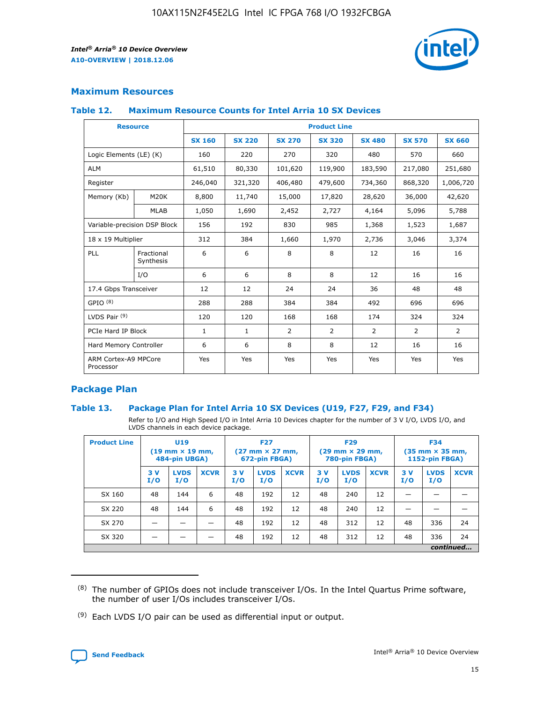![](_page_15_Picture_2.jpeg)

## **Maximum Resources**

### **Table 12. Maximum Resource Counts for Intel Arria 10 SX Devices**

| <b>Resource</b>                   |                         | <b>Product Line</b> |               |                |                |                |                |                |  |  |  |
|-----------------------------------|-------------------------|---------------------|---------------|----------------|----------------|----------------|----------------|----------------|--|--|--|
|                                   |                         | <b>SX 160</b>       | <b>SX 220</b> | <b>SX 270</b>  | <b>SX 320</b>  | <b>SX 480</b>  | <b>SX 570</b>  | <b>SX 660</b>  |  |  |  |
| Logic Elements (LE) (K)           |                         | 160                 | 220           | 270            | 320            | 480            | 570            | 660            |  |  |  |
| <b>ALM</b>                        |                         | 61,510              | 80,330        | 101,620        | 119,900        | 183,590        | 217,080        | 251,680        |  |  |  |
| Register                          |                         | 246,040             | 321,320       | 406,480        | 479,600        | 734,360        | 868,320        | 1,006,720      |  |  |  |
| Memory (Kb)                       | M <sub>20</sub> K       | 8,800               | 11,740        | 15,000         | 17,820         | 28,620         | 36,000         | 42,620         |  |  |  |
|                                   | <b>MLAB</b>             | 1,050               | 1,690         | 2,452          | 2,727          | 4,164          | 5,096          | 5,788          |  |  |  |
| Variable-precision DSP Block      |                         | 156                 | 192           | 830            | 985            | 1,368          | 1,523          | 1,687          |  |  |  |
| 18 x 19 Multiplier                |                         | 312                 | 384           | 1,660          | 1,970          | 2,736          | 3,046          | 3,374          |  |  |  |
| PLL                               | Fractional<br>Synthesis | 6                   | 6             | 8              | 8              | 12             | 16             | 16             |  |  |  |
|                                   | I/O                     | 6                   | 6             | 8              | 8              | 12             | 16             | 16             |  |  |  |
| 17.4 Gbps Transceiver             |                         | 12                  | 12            | 24             | 24             | 36             | 48             | 48             |  |  |  |
| GPIO <sup>(8)</sup>               |                         | 288                 | 288           | 384            | 384            | 492            | 696            | 696            |  |  |  |
| LVDS Pair $(9)$                   |                         | 120                 | 120           | 168            | 168            | 174            | 324            | 324            |  |  |  |
| PCIe Hard IP Block                |                         | $\mathbf{1}$        | $\mathbf{1}$  | $\overline{2}$ | $\overline{2}$ | $\overline{2}$ | $\overline{2}$ | $\overline{2}$ |  |  |  |
| Hard Memory Controller            |                         | 6                   | 6             | 8              | 8              | 12             | 16             | 16             |  |  |  |
| ARM Cortex-A9 MPCore<br>Processor |                         | Yes                 | Yes           | Yes            | Yes            | Yes            | Yes            | <b>Yes</b>     |  |  |  |

## **Package Plan**

### **Table 13. Package Plan for Intel Arria 10 SX Devices (U19, F27, F29, and F34)**

Refer to I/O and High Speed I/O in Intel Arria 10 Devices chapter for the number of 3 V I/O, LVDS I/O, and LVDS channels in each device package.

| <b>Product Line</b> | <b>U19</b><br>$(19 \text{ mm} \times 19 \text{ mm})$<br>484-pin UBGA) |                    |             | <b>F27</b><br>$(27 \text{ mm} \times 27 \text{ mm})$<br>672-pin FBGA) |                    | <b>F29</b><br>$(29 \text{ mm} \times 29 \text{ mm})$<br>780-pin FBGA) |           |                    | <b>F34</b><br>$(35 \text{ mm} \times 35 \text{ mm})$<br><b>1152-pin FBGA)</b> |           |                    |             |
|---------------------|-----------------------------------------------------------------------|--------------------|-------------|-----------------------------------------------------------------------|--------------------|-----------------------------------------------------------------------|-----------|--------------------|-------------------------------------------------------------------------------|-----------|--------------------|-------------|
|                     | 3V<br>I/O                                                             | <b>LVDS</b><br>I/O | <b>XCVR</b> | 3V<br>I/O                                                             | <b>LVDS</b><br>I/O | <b>XCVR</b>                                                           | 3V<br>I/O | <b>LVDS</b><br>I/O | <b>XCVR</b>                                                                   | 3V<br>I/O | <b>LVDS</b><br>I/O | <b>XCVR</b> |
| SX 160              | 48                                                                    | 144                | 6           | 48                                                                    | 192                | 12                                                                    | 48        | 240                | 12                                                                            | -         |                    |             |
| SX 220              | 48                                                                    | 144                | 6           | 48                                                                    | 192                | 12                                                                    | 48        | 240                | 12                                                                            |           |                    |             |
| SX 270              |                                                                       |                    |             | 48                                                                    | 192                | 12                                                                    | 48        | 312                | 12                                                                            | 48        | 336                | 24          |
| SX 320              |                                                                       |                    |             | 48                                                                    | 192                | 12                                                                    | 48        | 312                | 12                                                                            | 48        | 336                | 24          |
|                     | continued                                                             |                    |             |                                                                       |                    |                                                                       |           |                    |                                                                               |           |                    |             |

 $(8)$  The number of GPIOs does not include transceiver I/Os. In the Intel Quartus Prime software, the number of user I/Os includes transceiver I/Os.

 $(9)$  Each LVDS I/O pair can be used as differential input or output.

![](_page_15_Picture_12.jpeg)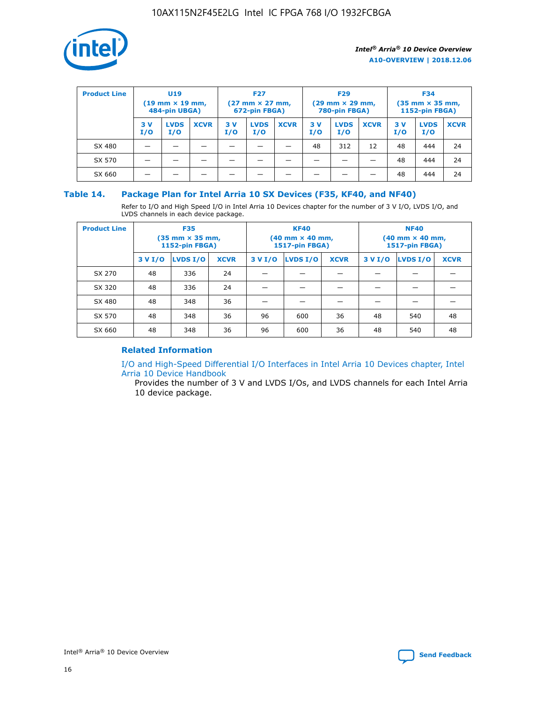![](_page_16_Picture_1.jpeg)

| <b>Product Line</b> | <b>U19</b><br>$(19 \text{ mm} \times 19 \text{ mm})$<br>484-pin UBGA) |                    | <b>F27</b><br>$(27 \text{ mm} \times 27 \text{ mm})$<br>672-pin FBGA) |           | <b>F29</b><br>$(29$ mm $\times$ 29 mm,<br>780-pin FBGA) |             |           | <b>F34</b><br>$(35$ mm $\times$ 35 mm,<br><b>1152-pin FBGA)</b> |             |           |                    |             |
|---------------------|-----------------------------------------------------------------------|--------------------|-----------------------------------------------------------------------|-----------|---------------------------------------------------------|-------------|-----------|-----------------------------------------------------------------|-------------|-----------|--------------------|-------------|
|                     | 3 V<br>I/O                                                            | <b>LVDS</b><br>I/O | <b>XCVR</b>                                                           | 3V<br>I/O | <b>LVDS</b><br>I/O                                      | <b>XCVR</b> | 3V<br>I/O | <b>LVDS</b><br>I/O                                              | <b>XCVR</b> | 3V<br>I/O | <b>LVDS</b><br>I/O | <b>XCVR</b> |
| SX 480              |                                                                       |                    |                                                                       |           |                                                         |             | 48        | 312                                                             | 12          | 48        | 444                | 24          |
| SX 570              |                                                                       |                    |                                                                       |           |                                                         |             |           |                                                                 |             | 48        | 444                | 24          |
| SX 660              |                                                                       |                    |                                                                       |           |                                                         |             |           |                                                                 |             | 48        | 444                | 24          |

## **Table 14. Package Plan for Intel Arria 10 SX Devices (F35, KF40, and NF40)**

Refer to I/O and High Speed I/O in Intel Arria 10 Devices chapter for the number of 3 V I/O, LVDS I/O, and LVDS channels in each device package.

| <b>Product Line</b> | <b>F35</b><br>(35 mm × 35 mm,<br><b>1152-pin FBGA)</b> |          |             |                                           | <b>KF40</b><br>(40 mm × 40 mm,<br>1517-pin FBGA) |    | <b>NF40</b><br>$(40 \text{ mm} \times 40 \text{ mm})$<br>1517-pin FBGA) |          |             |  |
|---------------------|--------------------------------------------------------|----------|-------------|-------------------------------------------|--------------------------------------------------|----|-------------------------------------------------------------------------|----------|-------------|--|
|                     | 3 V I/O                                                | LVDS I/O | <b>XCVR</b> | <b>LVDS I/O</b><br>3 V I/O<br><b>XCVR</b> |                                                  |    | 3 V I/O                                                                 | LVDS I/O | <b>XCVR</b> |  |
| SX 270              | 48                                                     | 336      | 24          |                                           |                                                  |    |                                                                         |          |             |  |
| SX 320              | 48                                                     | 336      | 24          |                                           |                                                  |    |                                                                         |          |             |  |
| SX 480              | 48                                                     | 348      | 36          |                                           |                                                  |    |                                                                         |          |             |  |
| SX 570              | 48                                                     | 348      | 36          | 96                                        | 600                                              | 36 | 48                                                                      | 540      | 48          |  |
| SX 660              | 48                                                     | 348      | 36          | 96                                        | 600                                              | 36 | 48                                                                      | 540      | 48          |  |

## **Related Information**

[I/O and High-Speed Differential I/O Interfaces in Intel Arria 10 Devices chapter, Intel](https://www.intel.com/content/www/us/en/programmable/documentation/sam1403482614086.html#sam1403482030321) [Arria 10 Device Handbook](https://www.intel.com/content/www/us/en/programmable/documentation/sam1403482614086.html#sam1403482030321)

Provides the number of 3 V and LVDS I/Os, and LVDS channels for each Intel Arria 10 device package.

![](_page_16_Picture_10.jpeg)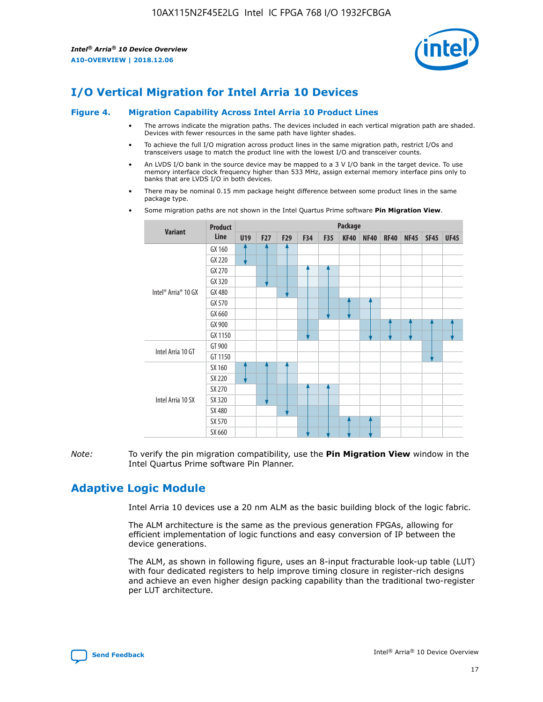![](_page_17_Picture_2.jpeg)

# **I/O Vertical Migration for Intel Arria 10 Devices**

#### **Figure 4. Migration Capability Across Intel Arria 10 Product Lines**

- The arrows indicate the migration paths. The devices included in each vertical migration path are shaded. Devices with fewer resources in the same path have lighter shades.
- To achieve the full I/O migration across product lines in the same migration path, restrict I/Os and transceivers usage to match the product line with the lowest I/O and transceiver counts.
- An LVDS I/O bank in the source device may be mapped to a 3 V I/O bank in the target device. To use memory interface clock frequency higher than 533 MHz, assign external memory interface pins only to banks that are LVDS I/O in both devices.
- There may be nominal 0.15 mm package height difference between some product lines in the same package type.
	- **Variant Product Line Package U19 F27 F29 F34 F35 KF40 NF40 RF40 NF45 SF45 UF45** Intel® Arria® 10 GX GX 160 GX 220 GX 270 GX 320 GX 480 GX 570 GX 660 GX 900 GX 1150 Intel Arria 10 GT GT 900 GT 1150 Intel Arria 10 SX SX 160 SX 220 SX 270 SX 320 SX 480 SX 570 SX 660
- Some migration paths are not shown in the Intel Quartus Prime software **Pin Migration View**.

*Note:* To verify the pin migration compatibility, use the **Pin Migration View** window in the Intel Quartus Prime software Pin Planner.

## **Adaptive Logic Module**

Intel Arria 10 devices use a 20 nm ALM as the basic building block of the logic fabric.

The ALM architecture is the same as the previous generation FPGAs, allowing for efficient implementation of logic functions and easy conversion of IP between the device generations.

The ALM, as shown in following figure, uses an 8-input fracturable look-up table (LUT) with four dedicated registers to help improve timing closure in register-rich designs and achieve an even higher design packing capability than the traditional two-register per LUT architecture.

![](_page_17_Picture_16.jpeg)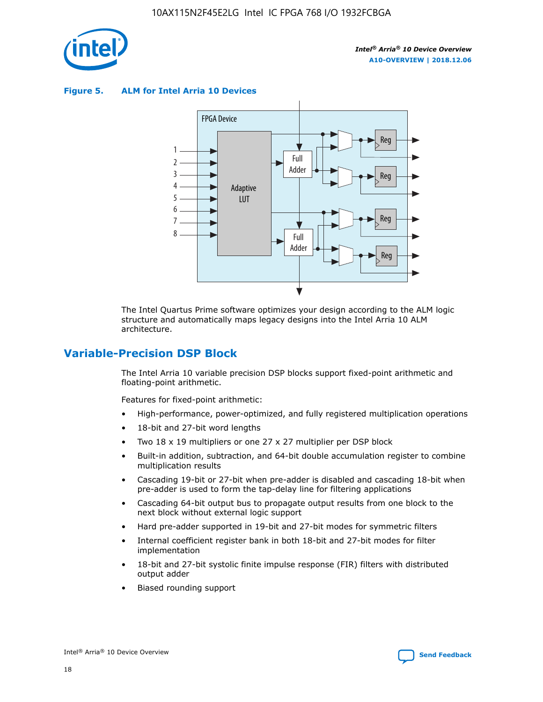![](_page_18_Picture_1.jpeg)

**Figure 5. ALM for Intel Arria 10 Devices**

![](_page_18_Figure_4.jpeg)

The Intel Quartus Prime software optimizes your design according to the ALM logic structure and automatically maps legacy designs into the Intel Arria 10 ALM architecture.

## **Variable-Precision DSP Block**

The Intel Arria 10 variable precision DSP blocks support fixed-point arithmetic and floating-point arithmetic.

Features for fixed-point arithmetic:

- High-performance, power-optimized, and fully registered multiplication operations
- 18-bit and 27-bit word lengths
- Two 18 x 19 multipliers or one 27 x 27 multiplier per DSP block
- Built-in addition, subtraction, and 64-bit double accumulation register to combine multiplication results
- Cascading 19-bit or 27-bit when pre-adder is disabled and cascading 18-bit when pre-adder is used to form the tap-delay line for filtering applications
- Cascading 64-bit output bus to propagate output results from one block to the next block without external logic support
- Hard pre-adder supported in 19-bit and 27-bit modes for symmetric filters
- Internal coefficient register bank in both 18-bit and 27-bit modes for filter implementation
- 18-bit and 27-bit systolic finite impulse response (FIR) filters with distributed output adder
- Biased rounding support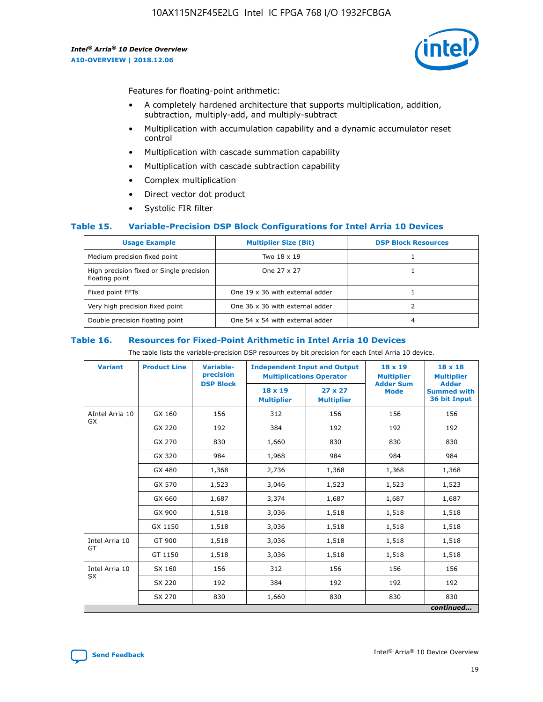![](_page_19_Picture_2.jpeg)

Features for floating-point arithmetic:

- A completely hardened architecture that supports multiplication, addition, subtraction, multiply-add, and multiply-subtract
- Multiplication with accumulation capability and a dynamic accumulator reset control
- Multiplication with cascade summation capability
- Multiplication with cascade subtraction capability
- Complex multiplication
- Direct vector dot product
- Systolic FIR filter

### **Table 15. Variable-Precision DSP Block Configurations for Intel Arria 10 Devices**

| <b>Usage Example</b>                                       | <b>Multiplier Size (Bit)</b>    | <b>DSP Block Resources</b> |
|------------------------------------------------------------|---------------------------------|----------------------------|
| Medium precision fixed point                               | Two 18 x 19                     |                            |
| High precision fixed or Single precision<br>floating point | One 27 x 27                     |                            |
| Fixed point FFTs                                           | One 19 x 36 with external adder |                            |
| Very high precision fixed point                            | One 36 x 36 with external adder |                            |
| Double precision floating point                            | One 54 x 54 with external adder | 4                          |

#### **Table 16. Resources for Fixed-Point Arithmetic in Intel Arria 10 Devices**

The table lists the variable-precision DSP resources by bit precision for each Intel Arria 10 device.

| <b>Variant</b>        | <b>Product Line</b> | Variable-<br>precision<br><b>DSP Block</b> | <b>Independent Input and Output</b><br><b>Multiplications Operator</b> |                                     | 18 x 19<br><b>Multiplier</b><br><b>Adder Sum</b> | $18 \times 18$<br><b>Multiplier</b><br><b>Adder</b> |
|-----------------------|---------------------|--------------------------------------------|------------------------------------------------------------------------|-------------------------------------|--------------------------------------------------|-----------------------------------------------------|
|                       |                     |                                            | 18 x 19<br><b>Multiplier</b>                                           | $27 \times 27$<br><b>Multiplier</b> | <b>Mode</b>                                      | <b>Summed with</b><br>36 bit Input                  |
| AIntel Arria 10<br>GX | GX 160              | 156                                        | 312                                                                    | 156                                 | 156                                              | 156                                                 |
|                       | GX 220              | 192                                        | 384                                                                    | 192                                 | 192                                              | 192                                                 |
|                       | GX 270              | 830                                        | 1,660                                                                  | 830                                 | 830                                              | 830                                                 |
|                       | GX 320              | 984                                        | 1,968                                                                  | 984                                 | 984                                              | 984                                                 |
|                       | GX 480              | 1,368                                      | 2,736                                                                  | 1,368                               | 1,368                                            | 1,368                                               |
|                       | GX 570              | 1,523                                      | 3,046                                                                  | 1,523                               | 1,523                                            | 1,523                                               |
|                       | GX 660              | 1,687                                      | 3,374                                                                  | 1,687                               | 1,687                                            | 1,687                                               |
|                       | GX 900              | 1,518                                      | 3,036                                                                  | 1,518                               | 1,518                                            | 1,518                                               |
|                       | GX 1150             | 1,518                                      | 3,036                                                                  | 1,518                               | 1,518                                            | 1,518                                               |
| Intel Arria 10        | GT 900              | 1,518                                      | 3,036                                                                  | 1,518                               | 1,518                                            | 1,518                                               |
| GT                    | GT 1150             | 1,518                                      | 3,036                                                                  | 1,518                               | 1,518                                            | 1,518                                               |
| Intel Arria 10        | SX 160              | 156                                        | 312                                                                    | 156                                 | 156                                              | 156                                                 |
| <b>SX</b>             | SX 220              | 192                                        | 384                                                                    | 192                                 | 192                                              | 192                                                 |
|                       | SX 270              | 830                                        | 1,660                                                                  | 830                                 | 830                                              | 830                                                 |
|                       |                     |                                            |                                                                        |                                     |                                                  | continued                                           |

![](_page_19_Picture_16.jpeg)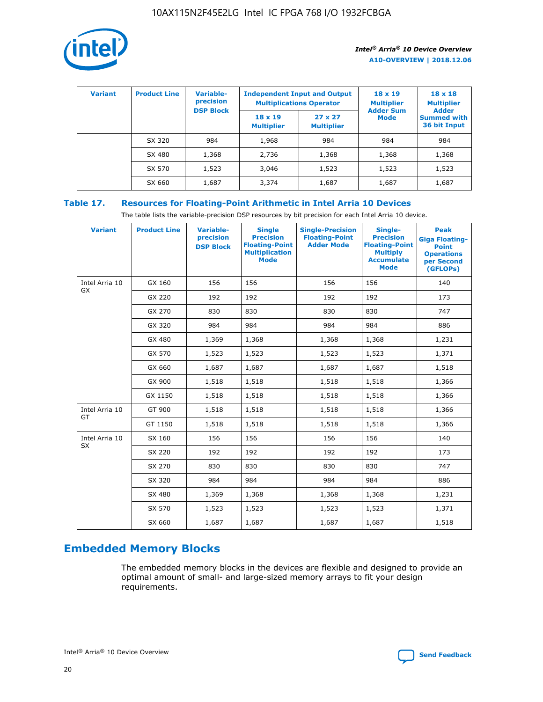![](_page_20_Picture_1.jpeg)

| <b>Variant</b> | <b>Product Line</b> | Variable-<br>precision | <b>Independent Input and Output</b><br><b>Multiplications Operator</b> |                                     | $18 \times 19$<br><b>Multiplier</b> | $18 \times 18$<br><b>Multiplier</b><br><b>Adder</b> |  |
|----------------|---------------------|------------------------|------------------------------------------------------------------------|-------------------------------------|-------------------------------------|-----------------------------------------------------|--|
|                |                     | <b>DSP Block</b>       | $18 \times 19$<br><b>Multiplier</b>                                    | $27 \times 27$<br><b>Multiplier</b> | <b>Adder Sum</b><br><b>Mode</b>     | <b>Summed with</b><br>36 bit Input                  |  |
|                | SX 320              | 984                    | 1,968                                                                  | 984                                 | 984                                 | 984                                                 |  |
|                | SX 480              | 1,368                  | 2,736                                                                  | 1,368                               | 1,368                               | 1,368                                               |  |
|                | SX 570              | 1,523                  | 3,046                                                                  | 1,523                               | 1,523                               | 1,523                                               |  |
|                | SX 660              | 1,687                  | 3,374                                                                  | 1,687                               | 1,687                               | 1,687                                               |  |

## **Table 17. Resources for Floating-Point Arithmetic in Intel Arria 10 Devices**

The table lists the variable-precision DSP resources by bit precision for each Intel Arria 10 device.

| <b>Variant</b> | <b>Product Line</b> | <b>Variable-</b><br>precision<br><b>DSP Block</b> | <b>Single</b><br><b>Precision</b><br><b>Floating-Point</b><br><b>Multiplication</b><br><b>Mode</b> | <b>Single-Precision</b><br><b>Floating-Point</b><br><b>Adder Mode</b> | Single-<br><b>Precision</b><br><b>Floating-Point</b><br><b>Multiply</b><br><b>Accumulate</b><br><b>Mode</b> | <b>Peak</b><br><b>Giga Floating-</b><br><b>Point</b><br><b>Operations</b><br>per Second<br>(GFLOPs) |
|----------------|---------------------|---------------------------------------------------|----------------------------------------------------------------------------------------------------|-----------------------------------------------------------------------|-------------------------------------------------------------------------------------------------------------|-----------------------------------------------------------------------------------------------------|
| Intel Arria 10 | GX 160              | 156                                               | 156                                                                                                | 156                                                                   | 156                                                                                                         | 140                                                                                                 |
| GX             | GX 220              | 192                                               | 192                                                                                                | 192                                                                   | 192                                                                                                         | 173                                                                                                 |
|                | GX 270              | 830                                               | 830                                                                                                | 830                                                                   | 830                                                                                                         | 747                                                                                                 |
|                | GX 320              | 984                                               | 984                                                                                                | 984                                                                   | 984                                                                                                         | 886                                                                                                 |
|                | GX 480              | 1,369                                             | 1,368                                                                                              | 1,368                                                                 | 1,368                                                                                                       | 1,231                                                                                               |
|                | GX 570              | 1,523                                             | 1,523                                                                                              | 1,523                                                                 | 1,523                                                                                                       | 1,371                                                                                               |
|                | GX 660              | 1,687                                             | 1,687                                                                                              | 1,687                                                                 | 1,687                                                                                                       | 1,518                                                                                               |
|                | GX 900              | 1,518                                             | 1,518                                                                                              | 1,518                                                                 | 1,518                                                                                                       | 1,366                                                                                               |
|                | GX 1150             | 1,518                                             | 1,518                                                                                              | 1,518                                                                 | 1,518                                                                                                       | 1,366                                                                                               |
| Intel Arria 10 | GT 900              | 1,518                                             | 1,518                                                                                              | 1,518                                                                 | 1,518                                                                                                       | 1,366                                                                                               |
| GT             | GT 1150             | 1,518                                             | 1,518                                                                                              | 1,518                                                                 | 1,518                                                                                                       | 1,366                                                                                               |
| Intel Arria 10 | SX 160              | 156                                               | 156                                                                                                | 156                                                                   | 156                                                                                                         | 140                                                                                                 |
| <b>SX</b>      | SX 220              | 192                                               | 192                                                                                                | 192                                                                   | 192                                                                                                         | 173                                                                                                 |
|                | SX 270              | 830                                               | 830                                                                                                | 830                                                                   | 830                                                                                                         | 747                                                                                                 |
|                | SX 320              | 984                                               | 984                                                                                                | 984                                                                   | 984                                                                                                         | 886                                                                                                 |
|                | SX 480              | 1,369                                             | 1,368                                                                                              | 1,368                                                                 | 1,368                                                                                                       | 1,231                                                                                               |
|                | SX 570              | 1,523                                             | 1,523                                                                                              | 1,523                                                                 | 1,523                                                                                                       | 1,371                                                                                               |
|                | SX 660              | 1,687                                             | 1,687                                                                                              | 1,687                                                                 | 1,687                                                                                                       | 1,518                                                                                               |

# **Embedded Memory Blocks**

The embedded memory blocks in the devices are flexible and designed to provide an optimal amount of small- and large-sized memory arrays to fit your design requirements.

![](_page_20_Picture_9.jpeg)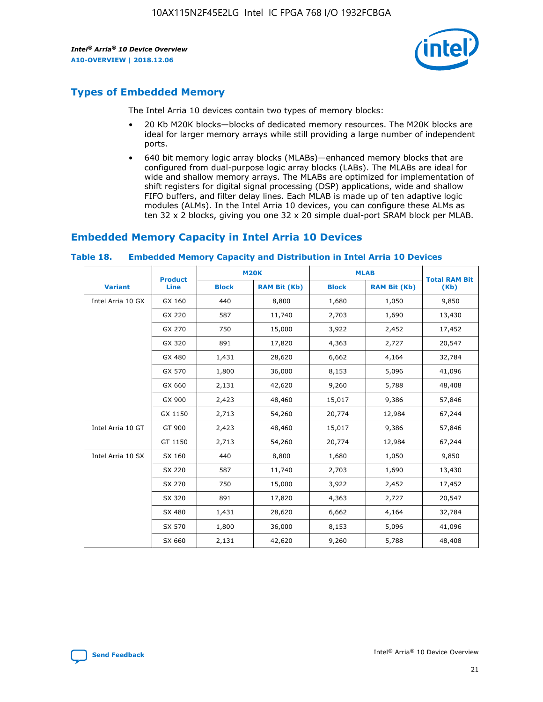![](_page_21_Picture_2.jpeg)

## **Types of Embedded Memory**

The Intel Arria 10 devices contain two types of memory blocks:

- 20 Kb M20K blocks—blocks of dedicated memory resources. The M20K blocks are ideal for larger memory arrays while still providing a large number of independent ports.
- 640 bit memory logic array blocks (MLABs)—enhanced memory blocks that are configured from dual-purpose logic array blocks (LABs). The MLABs are ideal for wide and shallow memory arrays. The MLABs are optimized for implementation of shift registers for digital signal processing (DSP) applications, wide and shallow FIFO buffers, and filter delay lines. Each MLAB is made up of ten adaptive logic modules (ALMs). In the Intel Arria 10 devices, you can configure these ALMs as ten 32 x 2 blocks, giving you one 32 x 20 simple dual-port SRAM block per MLAB.

## **Embedded Memory Capacity in Intel Arria 10 Devices**

|                   | <b>Product</b> |              | <b>M20K</b>         | <b>MLAB</b>  |                     | <b>Total RAM Bit</b> |
|-------------------|----------------|--------------|---------------------|--------------|---------------------|----------------------|
| <b>Variant</b>    | <b>Line</b>    | <b>Block</b> | <b>RAM Bit (Kb)</b> | <b>Block</b> | <b>RAM Bit (Kb)</b> | (Kb)                 |
| Intel Arria 10 GX | GX 160         | 440          | 8,800               | 1,680        | 1,050               | 9,850                |
|                   | GX 220         | 587          | 11,740              | 2,703        | 1,690               | 13,430               |
|                   | GX 270         | 750          | 15,000              | 3,922        | 2,452               | 17,452               |
|                   | GX 320         | 891          | 17,820              | 4,363        | 2,727               | 20,547               |
|                   | GX 480         | 1,431        | 28,620              | 6,662        | 4,164               | 32,784               |
|                   | GX 570         | 1,800        | 36,000              | 8,153        | 5,096               | 41,096               |
|                   | GX 660         | 2,131        | 42,620              | 9,260        | 5,788               | 48,408               |
|                   | GX 900         | 2,423        | 48,460              | 15,017       | 9,386               | 57,846               |
|                   | GX 1150        | 2,713        | 54,260              | 20,774       | 12,984              | 67,244               |
| Intel Arria 10 GT | GT 900         | 2,423        | 48,460              | 15,017       | 9,386               | 57,846               |
|                   | GT 1150        | 2,713        | 54,260              | 20,774       | 12,984              | 67,244               |
| Intel Arria 10 SX | SX 160         | 440          | 8,800               | 1,680        | 1,050               | 9,850                |
|                   | SX 220         | 587          | 11,740              | 2,703        | 1,690               | 13,430               |
|                   | SX 270         | 750          | 15,000              | 3,922        | 2,452               | 17,452               |
|                   | SX 320         | 891          | 17,820              | 4,363        | 2,727               | 20,547               |
|                   | SX 480         | 1,431        | 28,620              | 6,662        | 4,164               | 32,784               |
|                   | SX 570         | 1,800        | 36,000              | 8,153        | 5,096               | 41,096               |
|                   | SX 660         | 2,131        | 42,620              | 9,260        | 5,788               | 48,408               |

#### **Table 18. Embedded Memory Capacity and Distribution in Intel Arria 10 Devices**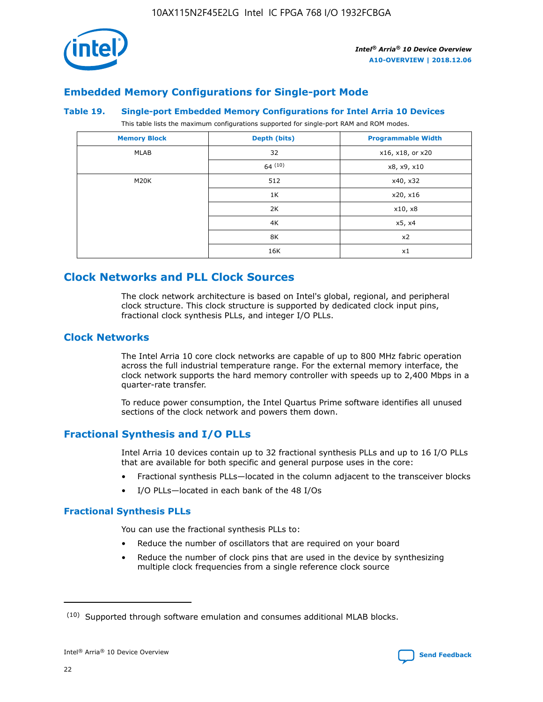![](_page_22_Picture_1.jpeg)

## **Embedded Memory Configurations for Single-port Mode**

#### **Table 19. Single-port Embedded Memory Configurations for Intel Arria 10 Devices**

This table lists the maximum configurations supported for single-port RAM and ROM modes.

| <b>Memory Block</b> | Depth (bits) | <b>Programmable Width</b> |
|---------------------|--------------|---------------------------|
| MLAB                | 32           | x16, x18, or x20          |
|                     | 64(10)       | x8, x9, x10               |
| M20K                | 512          | x40, x32                  |
|                     | 1K           | x20, x16                  |
|                     | 2K           | x10, x8                   |
|                     | 4K           | x5, x4                    |
|                     | 8K           | x2                        |
|                     | 16K          | x1                        |

## **Clock Networks and PLL Clock Sources**

The clock network architecture is based on Intel's global, regional, and peripheral clock structure. This clock structure is supported by dedicated clock input pins, fractional clock synthesis PLLs, and integer I/O PLLs.

## **Clock Networks**

The Intel Arria 10 core clock networks are capable of up to 800 MHz fabric operation across the full industrial temperature range. For the external memory interface, the clock network supports the hard memory controller with speeds up to 2,400 Mbps in a quarter-rate transfer.

To reduce power consumption, the Intel Quartus Prime software identifies all unused sections of the clock network and powers them down.

## **Fractional Synthesis and I/O PLLs**

Intel Arria 10 devices contain up to 32 fractional synthesis PLLs and up to 16 I/O PLLs that are available for both specific and general purpose uses in the core:

- Fractional synthesis PLLs—located in the column adjacent to the transceiver blocks
- I/O PLLs—located in each bank of the 48 I/Os

## **Fractional Synthesis PLLs**

You can use the fractional synthesis PLLs to:

- Reduce the number of oscillators that are required on your board
- Reduce the number of clock pins that are used in the device by synthesizing multiple clock frequencies from a single reference clock source

<sup>(10)</sup> Supported through software emulation and consumes additional MLAB blocks.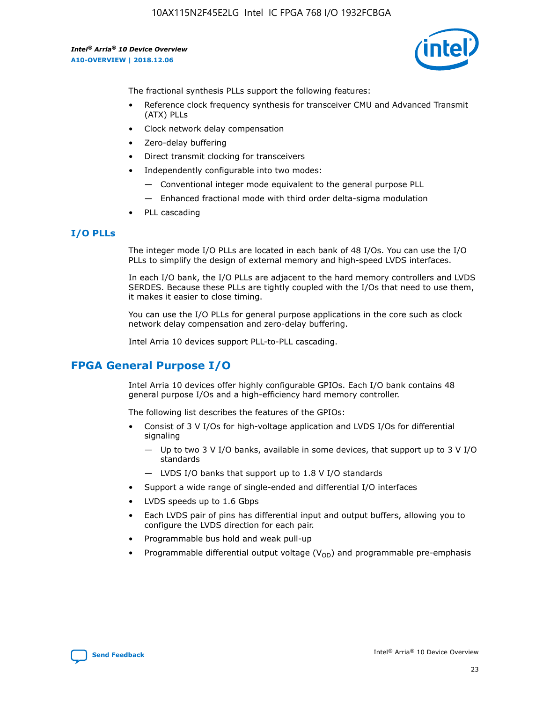10AX115N2F45E2LG Intel IC FPGA 768 I/O 1932FCBGA

*Intel® Arria® 10 Device Overview* **A10-OVERVIEW | 2018.12.06**

![](_page_23_Picture_2.jpeg)

The fractional synthesis PLLs support the following features:

- Reference clock frequency synthesis for transceiver CMU and Advanced Transmit (ATX) PLLs
- Clock network delay compensation
- Zero-delay buffering
- Direct transmit clocking for transceivers
- Independently configurable into two modes:
	- Conventional integer mode equivalent to the general purpose PLL
	- Enhanced fractional mode with third order delta-sigma modulation
- PLL cascading

## **I/O PLLs**

The integer mode I/O PLLs are located in each bank of 48 I/Os. You can use the I/O PLLs to simplify the design of external memory and high-speed LVDS interfaces.

In each I/O bank, the I/O PLLs are adjacent to the hard memory controllers and LVDS SERDES. Because these PLLs are tightly coupled with the I/Os that need to use them, it makes it easier to close timing.

You can use the I/O PLLs for general purpose applications in the core such as clock network delay compensation and zero-delay buffering.

Intel Arria 10 devices support PLL-to-PLL cascading.

## **FPGA General Purpose I/O**

Intel Arria 10 devices offer highly configurable GPIOs. Each I/O bank contains 48 general purpose I/Os and a high-efficiency hard memory controller.

The following list describes the features of the GPIOs:

- Consist of 3 V I/Os for high-voltage application and LVDS I/Os for differential signaling
	- Up to two 3 V I/O banks, available in some devices, that support up to 3 V I/O standards
	- LVDS I/O banks that support up to 1.8 V I/O standards
- Support a wide range of single-ended and differential I/O interfaces
- LVDS speeds up to 1.6 Gbps
- Each LVDS pair of pins has differential input and output buffers, allowing you to configure the LVDS direction for each pair.
- Programmable bus hold and weak pull-up
- Programmable differential output voltage  $(V_{OD})$  and programmable pre-emphasis

![](_page_23_Picture_28.jpeg)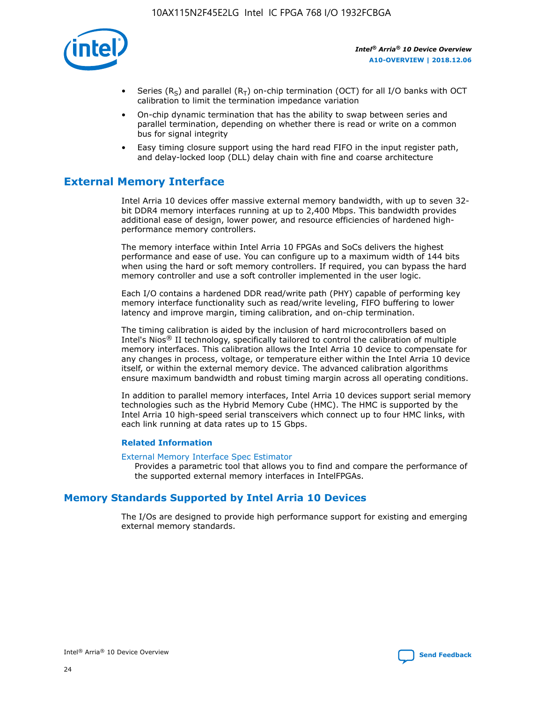![](_page_24_Picture_1.jpeg)

- Series (R<sub>S</sub>) and parallel (R<sub>T</sub>) on-chip termination (OCT) for all I/O banks with OCT calibration to limit the termination impedance variation
- On-chip dynamic termination that has the ability to swap between series and parallel termination, depending on whether there is read or write on a common bus for signal integrity
- Easy timing closure support using the hard read FIFO in the input register path, and delay-locked loop (DLL) delay chain with fine and coarse architecture

## **External Memory Interface**

Intel Arria 10 devices offer massive external memory bandwidth, with up to seven 32 bit DDR4 memory interfaces running at up to 2,400 Mbps. This bandwidth provides additional ease of design, lower power, and resource efficiencies of hardened highperformance memory controllers.

The memory interface within Intel Arria 10 FPGAs and SoCs delivers the highest performance and ease of use. You can configure up to a maximum width of 144 bits when using the hard or soft memory controllers. If required, you can bypass the hard memory controller and use a soft controller implemented in the user logic.

Each I/O contains a hardened DDR read/write path (PHY) capable of performing key memory interface functionality such as read/write leveling, FIFO buffering to lower latency and improve margin, timing calibration, and on-chip termination.

The timing calibration is aided by the inclusion of hard microcontrollers based on Intel's Nios® II technology, specifically tailored to control the calibration of multiple memory interfaces. This calibration allows the Intel Arria 10 device to compensate for any changes in process, voltage, or temperature either within the Intel Arria 10 device itself, or within the external memory device. The advanced calibration algorithms ensure maximum bandwidth and robust timing margin across all operating conditions.

In addition to parallel memory interfaces, Intel Arria 10 devices support serial memory technologies such as the Hybrid Memory Cube (HMC). The HMC is supported by the Intel Arria 10 high-speed serial transceivers which connect up to four HMC links, with each link running at data rates up to 15 Gbps.

### **Related Information**

#### [External Memory Interface Spec Estimator](http://www.altera.com/technology/memory/estimator/mem-emif-index.html)

Provides a parametric tool that allows you to find and compare the performance of the supported external memory interfaces in IntelFPGAs.

## **Memory Standards Supported by Intel Arria 10 Devices**

The I/Os are designed to provide high performance support for existing and emerging external memory standards.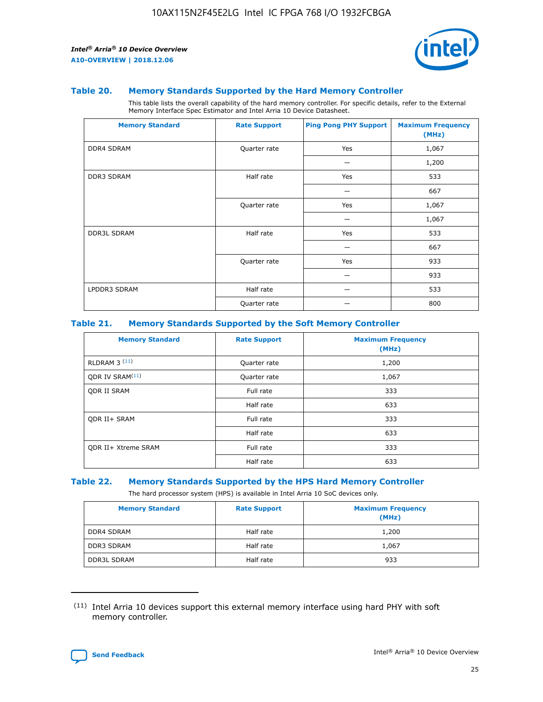![](_page_25_Picture_2.jpeg)

#### **Table 20. Memory Standards Supported by the Hard Memory Controller**

This table lists the overall capability of the hard memory controller. For specific details, refer to the External Memory Interface Spec Estimator and Intel Arria 10 Device Datasheet.

| <b>Memory Standard</b> | <b>Rate Support</b> | <b>Ping Pong PHY Support</b> | <b>Maximum Frequency</b><br>(MHz) |
|------------------------|---------------------|------------------------------|-----------------------------------|
| <b>DDR4 SDRAM</b>      | Quarter rate        | Yes                          | 1,067                             |
|                        |                     |                              | 1,200                             |
| DDR3 SDRAM             | Half rate           | Yes                          | 533                               |
|                        |                     |                              | 667                               |
|                        | Quarter rate        | Yes                          | 1,067                             |
|                        |                     |                              | 1,067                             |
| <b>DDR3L SDRAM</b>     | Half rate           | Yes                          | 533                               |
|                        |                     |                              | 667                               |
|                        | Quarter rate        | Yes                          | 933                               |
|                        |                     |                              | 933                               |
| LPDDR3 SDRAM           | Half rate           |                              | 533                               |
|                        | Quarter rate        |                              | 800                               |

### **Table 21. Memory Standards Supported by the Soft Memory Controller**

| <b>Memory Standard</b>      | <b>Rate Support</b> | <b>Maximum Frequency</b><br>(MHz) |
|-----------------------------|---------------------|-----------------------------------|
| <b>RLDRAM 3 (11)</b>        | Quarter rate        | 1,200                             |
| ODR IV SRAM <sup>(11)</sup> | Quarter rate        | 1,067                             |
| <b>ODR II SRAM</b>          | Full rate           | 333                               |
|                             | Half rate           | 633                               |
| <b>ODR II+ SRAM</b>         | Full rate           | 333                               |
|                             | Half rate           | 633                               |
| <b>ODR II+ Xtreme SRAM</b>  | Full rate           | 333                               |
|                             | Half rate           | 633                               |

#### **Table 22. Memory Standards Supported by the HPS Hard Memory Controller**

The hard processor system (HPS) is available in Intel Arria 10 SoC devices only.

| <b>Memory Standard</b> | <b>Rate Support</b> | <b>Maximum Frequency</b><br>(MHz) |
|------------------------|---------------------|-----------------------------------|
| <b>DDR4 SDRAM</b>      | Half rate           | 1,200                             |
| <b>DDR3 SDRAM</b>      | Half rate           | 1,067                             |
| <b>DDR3L SDRAM</b>     | Half rate           | 933                               |

<sup>(11)</sup> Intel Arria 10 devices support this external memory interface using hard PHY with soft memory controller.

![](_page_25_Picture_12.jpeg)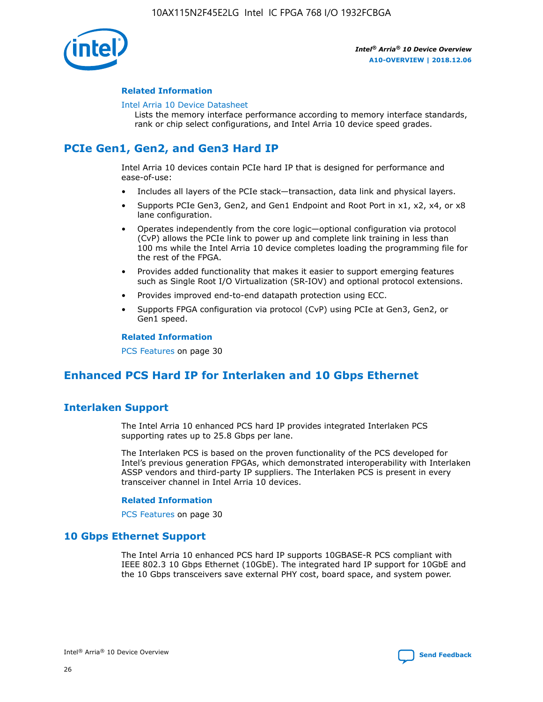![](_page_26_Picture_1.jpeg)

## **Related Information**

#### [Intel Arria 10 Device Datasheet](https://www.intel.com/content/www/us/en/programmable/documentation/mcn1413182292568.html#mcn1413182153340)

Lists the memory interface performance according to memory interface standards, rank or chip select configurations, and Intel Arria 10 device speed grades.

# **PCIe Gen1, Gen2, and Gen3 Hard IP**

Intel Arria 10 devices contain PCIe hard IP that is designed for performance and ease-of-use:

- Includes all layers of the PCIe stack—transaction, data link and physical layers.
- Supports PCIe Gen3, Gen2, and Gen1 Endpoint and Root Port in x1, x2, x4, or x8 lane configuration.
- Operates independently from the core logic—optional configuration via protocol (CvP) allows the PCIe link to power up and complete link training in less than 100 ms while the Intel Arria 10 device completes loading the programming file for the rest of the FPGA.
- Provides added functionality that makes it easier to support emerging features such as Single Root I/O Virtualization (SR-IOV) and optional protocol extensions.
- Provides improved end-to-end datapath protection using ECC.
- Supports FPGA configuration via protocol (CvP) using PCIe at Gen3, Gen2, or Gen1 speed.

#### **Related Information**

PCS Features on page 30

## **Enhanced PCS Hard IP for Interlaken and 10 Gbps Ethernet**

## **Interlaken Support**

The Intel Arria 10 enhanced PCS hard IP provides integrated Interlaken PCS supporting rates up to 25.8 Gbps per lane.

The Interlaken PCS is based on the proven functionality of the PCS developed for Intel's previous generation FPGAs, which demonstrated interoperability with Interlaken ASSP vendors and third-party IP suppliers. The Interlaken PCS is present in every transceiver channel in Intel Arria 10 devices.

### **Related Information**

PCS Features on page 30

## **10 Gbps Ethernet Support**

The Intel Arria 10 enhanced PCS hard IP supports 10GBASE-R PCS compliant with IEEE 802.3 10 Gbps Ethernet (10GbE). The integrated hard IP support for 10GbE and the 10 Gbps transceivers save external PHY cost, board space, and system power.

![](_page_26_Picture_24.jpeg)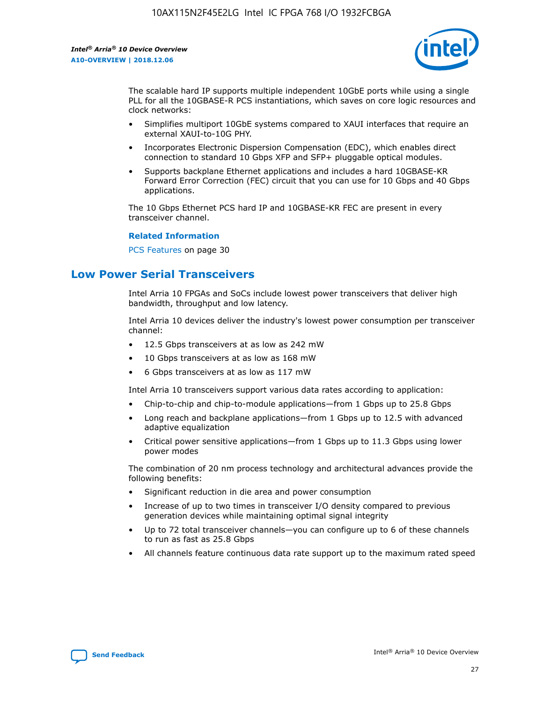![](_page_27_Picture_2.jpeg)

The scalable hard IP supports multiple independent 10GbE ports while using a single PLL for all the 10GBASE-R PCS instantiations, which saves on core logic resources and clock networks:

- Simplifies multiport 10GbE systems compared to XAUI interfaces that require an external XAUI-to-10G PHY.
- Incorporates Electronic Dispersion Compensation (EDC), which enables direct connection to standard 10 Gbps XFP and SFP+ pluggable optical modules.
- Supports backplane Ethernet applications and includes a hard 10GBASE-KR Forward Error Correction (FEC) circuit that you can use for 10 Gbps and 40 Gbps applications.

The 10 Gbps Ethernet PCS hard IP and 10GBASE-KR FEC are present in every transceiver channel.

### **Related Information**

PCS Features on page 30

## **Low Power Serial Transceivers**

Intel Arria 10 FPGAs and SoCs include lowest power transceivers that deliver high bandwidth, throughput and low latency.

Intel Arria 10 devices deliver the industry's lowest power consumption per transceiver channel:

- 12.5 Gbps transceivers at as low as 242 mW
- 10 Gbps transceivers at as low as 168 mW
- 6 Gbps transceivers at as low as 117 mW

Intel Arria 10 transceivers support various data rates according to application:

- Chip-to-chip and chip-to-module applications—from 1 Gbps up to 25.8 Gbps
- Long reach and backplane applications—from 1 Gbps up to 12.5 with advanced adaptive equalization
- Critical power sensitive applications—from 1 Gbps up to 11.3 Gbps using lower power modes

The combination of 20 nm process technology and architectural advances provide the following benefits:

- Significant reduction in die area and power consumption
- Increase of up to two times in transceiver I/O density compared to previous generation devices while maintaining optimal signal integrity
- Up to 72 total transceiver channels—you can configure up to 6 of these channels to run as fast as 25.8 Gbps
- All channels feature continuous data rate support up to the maximum rated speed

![](_page_27_Picture_25.jpeg)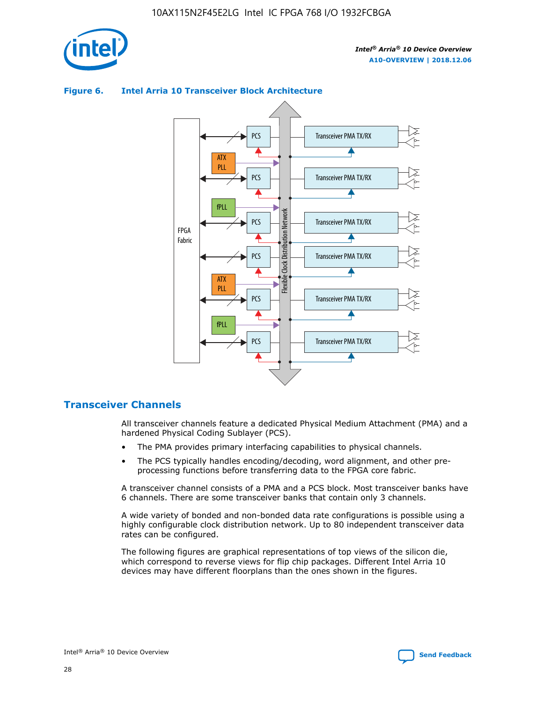![](_page_28_Picture_1.jpeg)

![](_page_28_Figure_3.jpeg)

## **Figure 6. Intel Arria 10 Transceiver Block Architecture**

## **Transceiver Channels**

All transceiver channels feature a dedicated Physical Medium Attachment (PMA) and a hardened Physical Coding Sublayer (PCS).

- The PMA provides primary interfacing capabilities to physical channels.
- The PCS typically handles encoding/decoding, word alignment, and other preprocessing functions before transferring data to the FPGA core fabric.

A transceiver channel consists of a PMA and a PCS block. Most transceiver banks have 6 channels. There are some transceiver banks that contain only 3 channels.

A wide variety of bonded and non-bonded data rate configurations is possible using a highly configurable clock distribution network. Up to 80 independent transceiver data rates can be configured.

The following figures are graphical representations of top views of the silicon die, which correspond to reverse views for flip chip packages. Different Intel Arria 10 devices may have different floorplans than the ones shown in the figures.

![](_page_28_Picture_12.jpeg)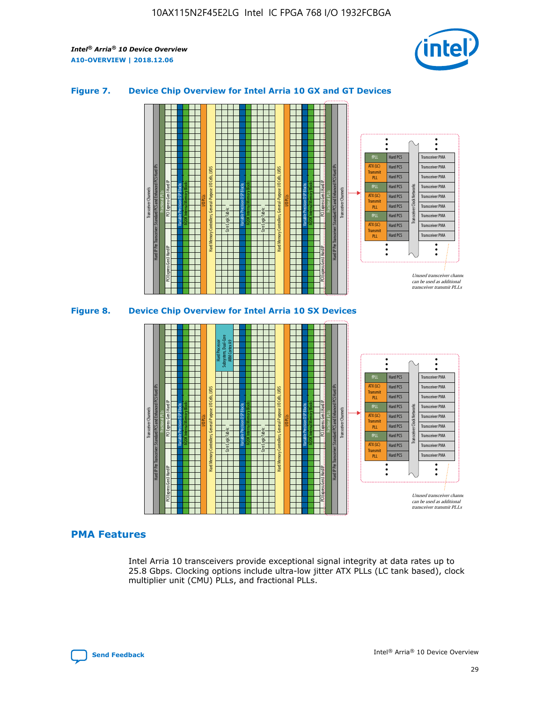![](_page_29_Picture_2.jpeg)

## **Figure 7. Device Chip Overview for Intel Arria 10 GX and GT Devices**

![](_page_29_Figure_4.jpeg)

# **PMA Features**

Intel Arria 10 transceivers provide exceptional signal integrity at data rates up to 25.8 Gbps. Clocking options include ultra-low jitter ATX PLLs (LC tank based), clock multiplier unit (CMU) PLLs, and fractional PLLs.

![](_page_29_Picture_7.jpeg)

Hard PCS Hard PCS Hard PCS Hard PCS Hard PCS

ATX (LC) Transmi PLL fPLL ATX (LC) **Transmit** PLL

Transceiver PMA Transceiver PMA Transceiver PMA

Transceiver PMA Transceiver PMA

Unused transceiver chann can be used as additional transceiver transmit PLLs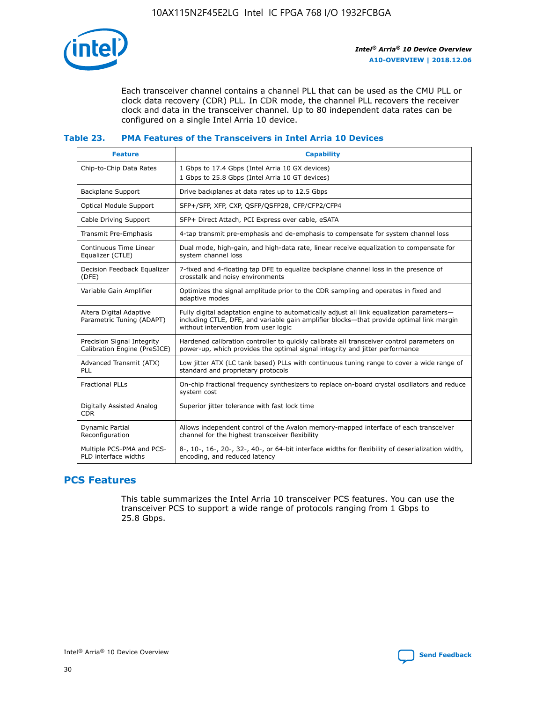![](_page_30_Picture_1.jpeg)

Each transceiver channel contains a channel PLL that can be used as the CMU PLL or clock data recovery (CDR) PLL. In CDR mode, the channel PLL recovers the receiver clock and data in the transceiver channel. Up to 80 independent data rates can be configured on a single Intel Arria 10 device.

## **Table 23. PMA Features of the Transceivers in Intel Arria 10 Devices**

| <b>Feature</b>                                             | <b>Capability</b>                                                                                                                                                                                                             |
|------------------------------------------------------------|-------------------------------------------------------------------------------------------------------------------------------------------------------------------------------------------------------------------------------|
| Chip-to-Chip Data Rates                                    | 1 Gbps to 17.4 Gbps (Intel Arria 10 GX devices)<br>1 Gbps to 25.8 Gbps (Intel Arria 10 GT devices)                                                                                                                            |
| Backplane Support                                          | Drive backplanes at data rates up to 12.5 Gbps                                                                                                                                                                                |
| <b>Optical Module Support</b>                              | SFP+/SFP, XFP, CXP, QSFP/QSFP28, CFP/CFP2/CFP4                                                                                                                                                                                |
| Cable Driving Support                                      | SFP+ Direct Attach, PCI Express over cable, eSATA                                                                                                                                                                             |
| Transmit Pre-Emphasis                                      | 4-tap transmit pre-emphasis and de-emphasis to compensate for system channel loss                                                                                                                                             |
| Continuous Time Linear<br>Equalizer (CTLE)                 | Dual mode, high-gain, and high-data rate, linear receive equalization to compensate for<br>system channel loss                                                                                                                |
| Decision Feedback Equalizer<br>(DFE)                       | 7-fixed and 4-floating tap DFE to equalize backplane channel loss in the presence of<br>crosstalk and noisy environments                                                                                                      |
| Variable Gain Amplifier                                    | Optimizes the signal amplitude prior to the CDR sampling and operates in fixed and<br>adaptive modes                                                                                                                          |
| Altera Digital Adaptive<br>Parametric Tuning (ADAPT)       | Fully digital adaptation engine to automatically adjust all link equalization parameters-<br>including CTLE, DFE, and variable gain amplifier blocks—that provide optimal link margin<br>without intervention from user logic |
| Precision Signal Integrity<br>Calibration Engine (PreSICE) | Hardened calibration controller to quickly calibrate all transceiver control parameters on<br>power-up, which provides the optimal signal integrity and jitter performance                                                    |
| Advanced Transmit (ATX)<br>PLL                             | Low jitter ATX (LC tank based) PLLs with continuous tuning range to cover a wide range of<br>standard and proprietary protocols                                                                                               |
| <b>Fractional PLLs</b>                                     | On-chip fractional frequency synthesizers to replace on-board crystal oscillators and reduce<br>system cost                                                                                                                   |
| Digitally Assisted Analog<br><b>CDR</b>                    | Superior jitter tolerance with fast lock time                                                                                                                                                                                 |
| Dynamic Partial<br>Reconfiguration                         | Allows independent control of the Avalon memory-mapped interface of each transceiver<br>channel for the highest transceiver flexibility                                                                                       |
| Multiple PCS-PMA and PCS-<br>PLD interface widths          | 8-, 10-, 16-, 20-, 32-, 40-, or 64-bit interface widths for flexibility of deserialization width,<br>encoding, and reduced latency                                                                                            |

## **PCS Features**

This table summarizes the Intel Arria 10 transceiver PCS features. You can use the transceiver PCS to support a wide range of protocols ranging from 1 Gbps to 25.8 Gbps.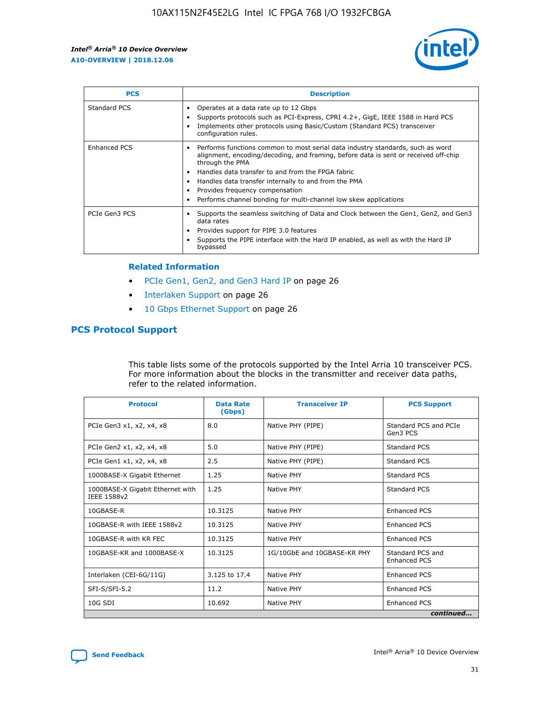![](_page_31_Picture_2.jpeg)

| <b>PCS</b>    | <b>Description</b>                                                                                                                                                                                                                                                                                                                                                                                             |
|---------------|----------------------------------------------------------------------------------------------------------------------------------------------------------------------------------------------------------------------------------------------------------------------------------------------------------------------------------------------------------------------------------------------------------------|
| Standard PCS  | Operates at a data rate up to 12 Gbps<br>Supports protocols such as PCI-Express, CPRI 4.2+, GigE, IEEE 1588 in Hard PCS<br>Implements other protocols using Basic/Custom (Standard PCS) transceiver<br>configuration rules.                                                                                                                                                                                    |
| Enhanced PCS  | Performs functions common to most serial data industry standards, such as word<br>alignment, encoding/decoding, and framing, before data is sent or received off-chip<br>through the PMA<br>• Handles data transfer to and from the FPGA fabric<br>Handles data transfer internally to and from the PMA<br>Provides frequency compensation<br>Performs channel bonding for multi-channel low skew applications |
| PCIe Gen3 PCS | Supports the seamless switching of Data and Clock between the Gen1, Gen2, and Gen3<br>data rates<br>Provides support for PIPE 3.0 features<br>Supports the PIPE interface with the Hard IP enabled, as well as with the Hard IP<br>bypassed                                                                                                                                                                    |

#### **Related Information**

- PCIe Gen1, Gen2, and Gen3 Hard IP on page 26
- Interlaken Support on page 26
- 10 Gbps Ethernet Support on page 26

## **PCS Protocol Support**

This table lists some of the protocols supported by the Intel Arria 10 transceiver PCS. For more information about the blocks in the transmitter and receiver data paths, refer to the related information.

| <b>Protocol</b>                                 | <b>Data Rate</b><br>(Gbps) | <b>Transceiver IP</b>       | <b>PCS Support</b>                      |
|-------------------------------------------------|----------------------------|-----------------------------|-----------------------------------------|
| PCIe Gen3 x1, x2, x4, x8                        | 8.0                        | Native PHY (PIPE)           | Standard PCS and PCIe<br>Gen3 PCS       |
| PCIe Gen2 x1, x2, x4, x8                        | 5.0                        | Native PHY (PIPE)           | <b>Standard PCS</b>                     |
| PCIe Gen1 x1, x2, x4, x8                        | 2.5                        | Native PHY (PIPE)           | Standard PCS                            |
| 1000BASE-X Gigabit Ethernet                     | 1.25                       | Native PHY                  | <b>Standard PCS</b>                     |
| 1000BASE-X Gigabit Ethernet with<br>IEEE 1588v2 | 1.25                       | Native PHY                  | Standard PCS                            |
| 10GBASE-R                                       | 10.3125                    | Native PHY                  | <b>Enhanced PCS</b>                     |
| 10GBASE-R with IEEE 1588v2                      | 10.3125                    | Native PHY                  | <b>Enhanced PCS</b>                     |
| 10GBASE-R with KR FEC                           | 10.3125                    | Native PHY                  | <b>Enhanced PCS</b>                     |
| 10GBASE-KR and 1000BASE-X                       | 10.3125                    | 1G/10GbE and 10GBASE-KR PHY | Standard PCS and<br><b>Enhanced PCS</b> |
| Interlaken (CEI-6G/11G)                         | 3.125 to 17.4              | Native PHY                  | <b>Enhanced PCS</b>                     |
| SFI-S/SFI-5.2                                   | 11.2                       | Native PHY                  | <b>Enhanced PCS</b>                     |
| $10G$ SDI                                       | 10.692                     | Native PHY                  | <b>Enhanced PCS</b>                     |
|                                                 |                            |                             | continued                               |

![](_page_31_Picture_11.jpeg)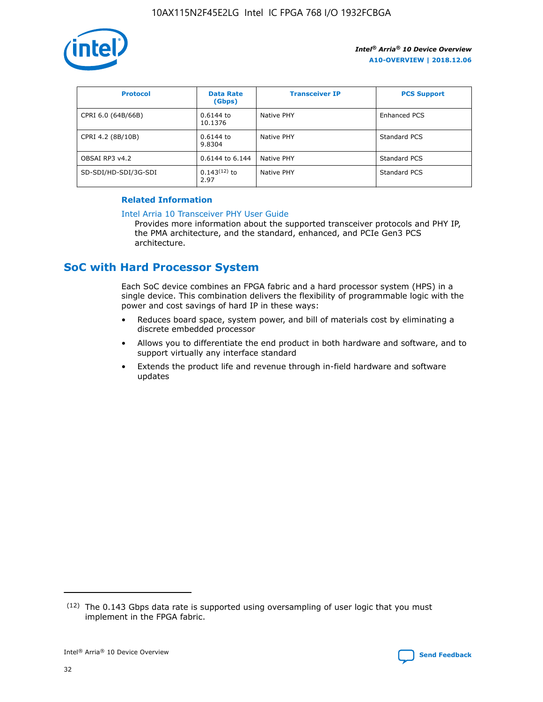![](_page_32_Picture_1.jpeg)

| <b>Protocol</b>      | <b>Data Rate</b><br>(Gbps) | <b>Transceiver IP</b> | <b>PCS Support</b> |
|----------------------|----------------------------|-----------------------|--------------------|
| CPRI 6.0 (64B/66B)   | 0.6144 to<br>10.1376       | Native PHY            | Enhanced PCS       |
| CPRI 4.2 (8B/10B)    | $0.6144$ to<br>9.8304      | Native PHY            | Standard PCS       |
| OBSAI RP3 v4.2       | 0.6144 to 6.144            | Native PHY            | Standard PCS       |
| SD-SDI/HD-SDI/3G-SDI | $0.143(12)$ to<br>2.97     | Native PHY            | Standard PCS       |

## **Related Information**

#### [Intel Arria 10 Transceiver PHY User Guide](https://www.intel.com/content/www/us/en/programmable/documentation/nik1398707230472.html#nik1398707091164)

Provides more information about the supported transceiver protocols and PHY IP, the PMA architecture, and the standard, enhanced, and PCIe Gen3 PCS architecture.

## **SoC with Hard Processor System**

Each SoC device combines an FPGA fabric and a hard processor system (HPS) in a single device. This combination delivers the flexibility of programmable logic with the power and cost savings of hard IP in these ways:

- Reduces board space, system power, and bill of materials cost by eliminating a discrete embedded processor
- Allows you to differentiate the end product in both hardware and software, and to support virtually any interface standard
- Extends the product life and revenue through in-field hardware and software updates

 $(12)$  The 0.143 Gbps data rate is supported using oversampling of user logic that you must implement in the FPGA fabric.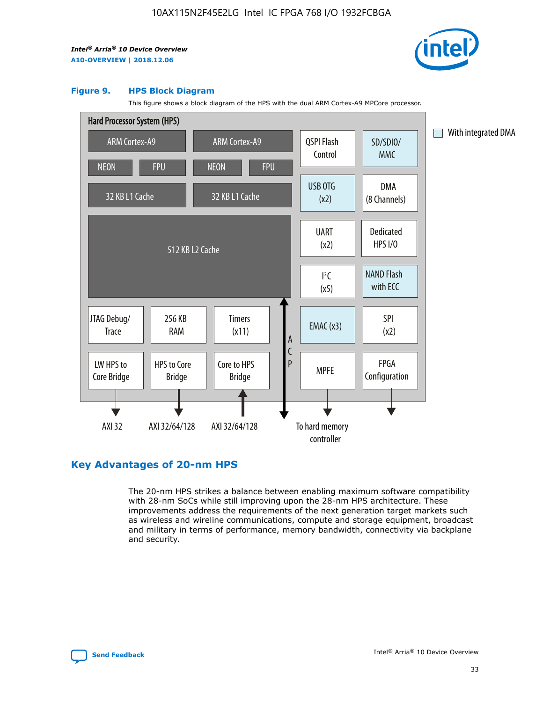![](_page_33_Picture_2.jpeg)

#### **Figure 9. HPS Block Diagram**

This figure shows a block diagram of the HPS with the dual ARM Cortex-A9 MPCore processor.

![](_page_33_Figure_5.jpeg)

## **Key Advantages of 20-nm HPS**

The 20-nm HPS strikes a balance between enabling maximum software compatibility with 28-nm SoCs while still improving upon the 28-nm HPS architecture. These improvements address the requirements of the next generation target markets such as wireless and wireline communications, compute and storage equipment, broadcast and military in terms of performance, memory bandwidth, connectivity via backplane and security.

![](_page_33_Picture_8.jpeg)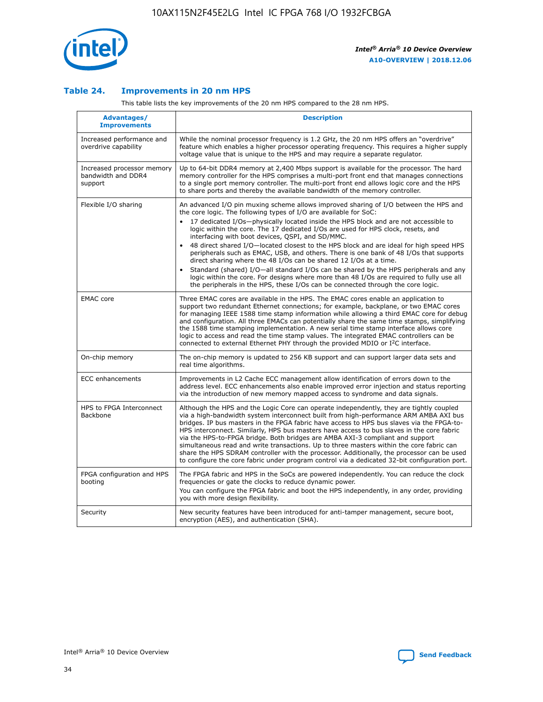![](_page_34_Picture_1.jpeg)

## **Table 24. Improvements in 20 nm HPS**

This table lists the key improvements of the 20 nm HPS compared to the 28 nm HPS.

| Advantages/<br><b>Improvements</b>                          | <b>Description</b>                                                                                                                                                                                                                                                                                                                                                                                                                                                                                                                                                                                                                                                                                                                                                                                                                                                                                                                   |
|-------------------------------------------------------------|--------------------------------------------------------------------------------------------------------------------------------------------------------------------------------------------------------------------------------------------------------------------------------------------------------------------------------------------------------------------------------------------------------------------------------------------------------------------------------------------------------------------------------------------------------------------------------------------------------------------------------------------------------------------------------------------------------------------------------------------------------------------------------------------------------------------------------------------------------------------------------------------------------------------------------------|
| Increased performance and<br>overdrive capability           | While the nominal processor frequency is 1.2 GHz, the 20 nm HPS offers an "overdrive"<br>feature which enables a higher processor operating frequency. This requires a higher supply<br>voltage value that is unique to the HPS and may require a separate regulator.                                                                                                                                                                                                                                                                                                                                                                                                                                                                                                                                                                                                                                                                |
| Increased processor memory<br>bandwidth and DDR4<br>support | Up to 64-bit DDR4 memory at 2,400 Mbps support is available for the processor. The hard<br>memory controller for the HPS comprises a multi-port front end that manages connections<br>to a single port memory controller. The multi-port front end allows logic core and the HPS<br>to share ports and thereby the available bandwidth of the memory controller.                                                                                                                                                                                                                                                                                                                                                                                                                                                                                                                                                                     |
| Flexible I/O sharing                                        | An advanced I/O pin muxing scheme allows improved sharing of I/O between the HPS and<br>the core logic. The following types of I/O are available for SoC:<br>17 dedicated I/Os-physically located inside the HPS block and are not accessible to<br>logic within the core. The 17 dedicated I/Os are used for HPS clock, resets, and<br>interfacing with boot devices, QSPI, and SD/MMC.<br>48 direct shared I/O-located closest to the HPS block and are ideal for high speed HPS<br>$\bullet$<br>peripherals such as EMAC, USB, and others. There is one bank of 48 I/Os that supports<br>direct sharing where the 48 I/Os can be shared 12 I/Os at a time.<br>Standard (shared) I/O-all standard I/Os can be shared by the HPS peripherals and any<br>logic within the core. For designs where more than 48 I/Os are reguired to fully use all<br>the peripherals in the HPS, these I/Os can be connected through the core logic. |
| <b>EMAC</b> core                                            | Three EMAC cores are available in the HPS. The EMAC cores enable an application to<br>support two redundant Ethernet connections; for example, backplane, or two EMAC cores<br>for managing IEEE 1588 time stamp information while allowing a third EMAC core for debug<br>and configuration. All three EMACs can potentially share the same time stamps, simplifying<br>the 1588 time stamping implementation. A new serial time stamp interface allows core<br>logic to access and read the time stamp values. The integrated EMAC controllers can be<br>connected to external Ethernet PHY through the provided MDIO or I <sup>2</sup> C interface.                                                                                                                                                                                                                                                                               |
| On-chip memory                                              | The on-chip memory is updated to 256 KB support and can support larger data sets and<br>real time algorithms.                                                                                                                                                                                                                                                                                                                                                                                                                                                                                                                                                                                                                                                                                                                                                                                                                        |
| <b>ECC</b> enhancements                                     | Improvements in L2 Cache ECC management allow identification of errors down to the<br>address level. ECC enhancements also enable improved error injection and status reporting<br>via the introduction of new memory mapped access to syndrome and data signals.                                                                                                                                                                                                                                                                                                                                                                                                                                                                                                                                                                                                                                                                    |
| HPS to FPGA Interconnect<br>Backbone                        | Although the HPS and the Logic Core can operate independently, they are tightly coupled<br>via a high-bandwidth system interconnect built from high-performance ARM AMBA AXI bus<br>bridges. IP bus masters in the FPGA fabric have access to HPS bus slaves via the FPGA-to-<br>HPS interconnect. Similarly, HPS bus masters have access to bus slaves in the core fabric<br>via the HPS-to-FPGA bridge. Both bridges are AMBA AXI-3 compliant and support<br>simultaneous read and write transactions. Up to three masters within the core fabric can<br>share the HPS SDRAM controller with the processor. Additionally, the processor can be used<br>to configure the core fabric under program control via a dedicated 32-bit configuration port.                                                                                                                                                                               |
| FPGA configuration and HPS<br>booting                       | The FPGA fabric and HPS in the SoCs are powered independently. You can reduce the clock<br>frequencies or gate the clocks to reduce dynamic power.<br>You can configure the FPGA fabric and boot the HPS independently, in any order, providing<br>you with more design flexibility.                                                                                                                                                                                                                                                                                                                                                                                                                                                                                                                                                                                                                                                 |
| Security                                                    | New security features have been introduced for anti-tamper management, secure boot,<br>encryption (AES), and authentication (SHA).                                                                                                                                                                                                                                                                                                                                                                                                                                                                                                                                                                                                                                                                                                                                                                                                   |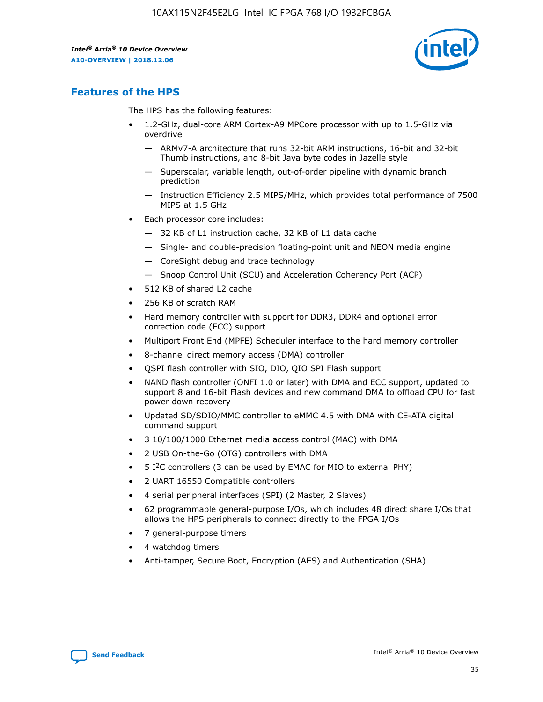![](_page_35_Picture_2.jpeg)

## **Features of the HPS**

The HPS has the following features:

- 1.2-GHz, dual-core ARM Cortex-A9 MPCore processor with up to 1.5-GHz via overdrive
	- ARMv7-A architecture that runs 32-bit ARM instructions, 16-bit and 32-bit Thumb instructions, and 8-bit Java byte codes in Jazelle style
	- Superscalar, variable length, out-of-order pipeline with dynamic branch prediction
	- Instruction Efficiency 2.5 MIPS/MHz, which provides total performance of 7500 MIPS at 1.5 GHz
- Each processor core includes:
	- 32 KB of L1 instruction cache, 32 KB of L1 data cache
	- Single- and double-precision floating-point unit and NEON media engine
	- CoreSight debug and trace technology
	- Snoop Control Unit (SCU) and Acceleration Coherency Port (ACP)
- 512 KB of shared L2 cache
- 256 KB of scratch RAM
- Hard memory controller with support for DDR3, DDR4 and optional error correction code (ECC) support
- Multiport Front End (MPFE) Scheduler interface to the hard memory controller
- 8-channel direct memory access (DMA) controller
- QSPI flash controller with SIO, DIO, QIO SPI Flash support
- NAND flash controller (ONFI 1.0 or later) with DMA and ECC support, updated to support 8 and 16-bit Flash devices and new command DMA to offload CPU for fast power down recovery
- Updated SD/SDIO/MMC controller to eMMC 4.5 with DMA with CE-ATA digital command support
- 3 10/100/1000 Ethernet media access control (MAC) with DMA
- 2 USB On-the-Go (OTG) controllers with DMA
- $\bullet$  5 I<sup>2</sup>C controllers (3 can be used by EMAC for MIO to external PHY)
- 2 UART 16550 Compatible controllers
- 4 serial peripheral interfaces (SPI) (2 Master, 2 Slaves)
- 62 programmable general-purpose I/Os, which includes 48 direct share I/Os that allows the HPS peripherals to connect directly to the FPGA I/Os
- 7 general-purpose timers
- 4 watchdog timers
- Anti-tamper, Secure Boot, Encryption (AES) and Authentication (SHA)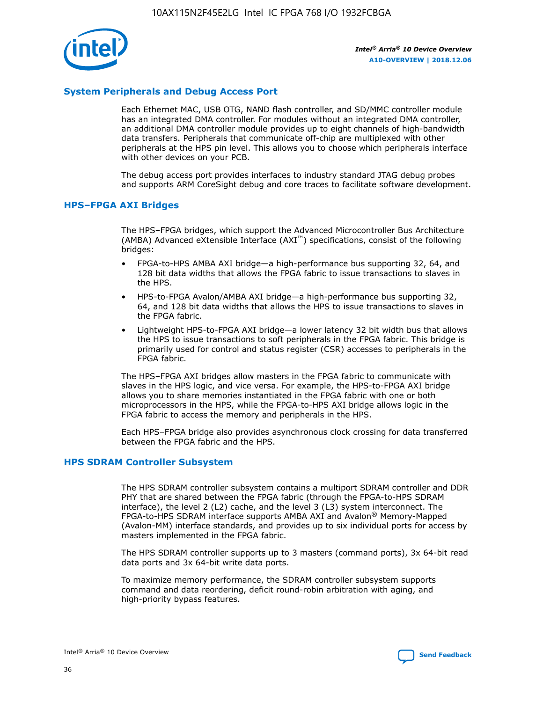![](_page_36_Picture_1.jpeg)

## **System Peripherals and Debug Access Port**

Each Ethernet MAC, USB OTG, NAND flash controller, and SD/MMC controller module has an integrated DMA controller. For modules without an integrated DMA controller, an additional DMA controller module provides up to eight channels of high-bandwidth data transfers. Peripherals that communicate off-chip are multiplexed with other peripherals at the HPS pin level. This allows you to choose which peripherals interface with other devices on your PCB.

The debug access port provides interfaces to industry standard JTAG debug probes and supports ARM CoreSight debug and core traces to facilitate software development.

#### **HPS–FPGA AXI Bridges**

The HPS–FPGA bridges, which support the Advanced Microcontroller Bus Architecture (AMBA) Advanced eXtensible Interface (AXI™) specifications, consist of the following bridges:

- FPGA-to-HPS AMBA AXI bridge—a high-performance bus supporting 32, 64, and 128 bit data widths that allows the FPGA fabric to issue transactions to slaves in the HPS.
- HPS-to-FPGA Avalon/AMBA AXI bridge—a high-performance bus supporting 32, 64, and 128 bit data widths that allows the HPS to issue transactions to slaves in the FPGA fabric.
- Lightweight HPS-to-FPGA AXI bridge—a lower latency 32 bit width bus that allows the HPS to issue transactions to soft peripherals in the FPGA fabric. This bridge is primarily used for control and status register (CSR) accesses to peripherals in the FPGA fabric.

The HPS–FPGA AXI bridges allow masters in the FPGA fabric to communicate with slaves in the HPS logic, and vice versa. For example, the HPS-to-FPGA AXI bridge allows you to share memories instantiated in the FPGA fabric with one or both microprocessors in the HPS, while the FPGA-to-HPS AXI bridge allows logic in the FPGA fabric to access the memory and peripherals in the HPS.

Each HPS–FPGA bridge also provides asynchronous clock crossing for data transferred between the FPGA fabric and the HPS.

#### **HPS SDRAM Controller Subsystem**

The HPS SDRAM controller subsystem contains a multiport SDRAM controller and DDR PHY that are shared between the FPGA fabric (through the FPGA-to-HPS SDRAM interface), the level 2 (L2) cache, and the level 3 (L3) system interconnect. The FPGA-to-HPS SDRAM interface supports AMBA AXI and Avalon® Memory-Mapped (Avalon-MM) interface standards, and provides up to six individual ports for access by masters implemented in the FPGA fabric.

The HPS SDRAM controller supports up to 3 masters (command ports), 3x 64-bit read data ports and 3x 64-bit write data ports.

To maximize memory performance, the SDRAM controller subsystem supports command and data reordering, deficit round-robin arbitration with aging, and high-priority bypass features.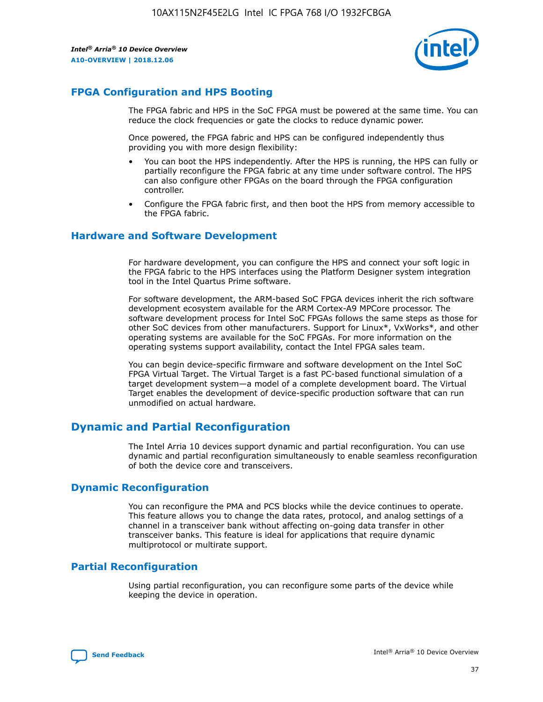![](_page_37_Picture_2.jpeg)

## **FPGA Configuration and HPS Booting**

The FPGA fabric and HPS in the SoC FPGA must be powered at the same time. You can reduce the clock frequencies or gate the clocks to reduce dynamic power.

Once powered, the FPGA fabric and HPS can be configured independently thus providing you with more design flexibility:

- You can boot the HPS independently. After the HPS is running, the HPS can fully or partially reconfigure the FPGA fabric at any time under software control. The HPS can also configure other FPGAs on the board through the FPGA configuration controller.
- Configure the FPGA fabric first, and then boot the HPS from memory accessible to the FPGA fabric.

## **Hardware and Software Development**

For hardware development, you can configure the HPS and connect your soft logic in the FPGA fabric to the HPS interfaces using the Platform Designer system integration tool in the Intel Quartus Prime software.

For software development, the ARM-based SoC FPGA devices inherit the rich software development ecosystem available for the ARM Cortex-A9 MPCore processor. The software development process for Intel SoC FPGAs follows the same steps as those for other SoC devices from other manufacturers. Support for Linux\*, VxWorks\*, and other operating systems are available for the SoC FPGAs. For more information on the operating systems support availability, contact the Intel FPGA sales team.

You can begin device-specific firmware and software development on the Intel SoC FPGA Virtual Target. The Virtual Target is a fast PC-based functional simulation of a target development system—a model of a complete development board. The Virtual Target enables the development of device-specific production software that can run unmodified on actual hardware.

## **Dynamic and Partial Reconfiguration**

The Intel Arria 10 devices support dynamic and partial reconfiguration. You can use dynamic and partial reconfiguration simultaneously to enable seamless reconfiguration of both the device core and transceivers.

## **Dynamic Reconfiguration**

You can reconfigure the PMA and PCS blocks while the device continues to operate. This feature allows you to change the data rates, protocol, and analog settings of a channel in a transceiver bank without affecting on-going data transfer in other transceiver banks. This feature is ideal for applications that require dynamic multiprotocol or multirate support.

## **Partial Reconfiguration**

Using partial reconfiguration, you can reconfigure some parts of the device while keeping the device in operation.

![](_page_37_Picture_18.jpeg)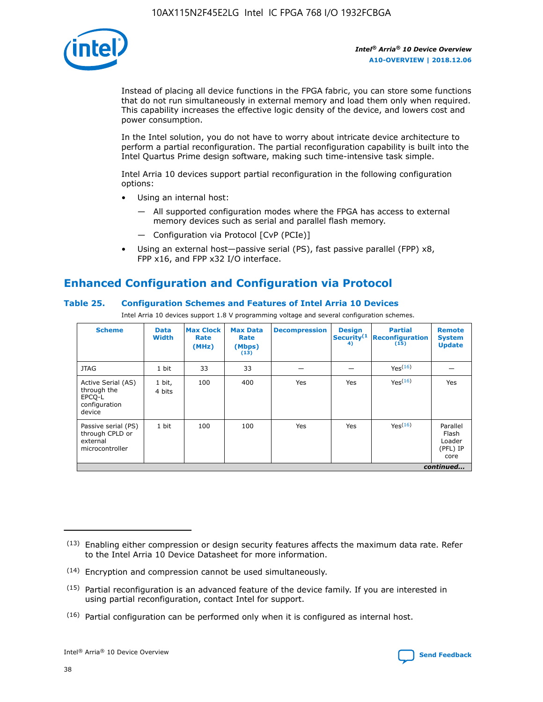![](_page_38_Picture_1.jpeg)

Instead of placing all device functions in the FPGA fabric, you can store some functions that do not run simultaneously in external memory and load them only when required. This capability increases the effective logic density of the device, and lowers cost and power consumption.

In the Intel solution, you do not have to worry about intricate device architecture to perform a partial reconfiguration. The partial reconfiguration capability is built into the Intel Quartus Prime design software, making such time-intensive task simple.

Intel Arria 10 devices support partial reconfiguration in the following configuration options:

- Using an internal host:
	- All supported configuration modes where the FPGA has access to external memory devices such as serial and parallel flash memory.
	- Configuration via Protocol [CvP (PCIe)]
- Using an external host—passive serial (PS), fast passive parallel (FPP) x8, FPP x16, and FPP x32 I/O interface.

# **Enhanced Configuration and Configuration via Protocol**

## **Table 25. Configuration Schemes and Features of Intel Arria 10 Devices**

Intel Arria 10 devices support 1.8 V programming voltage and several configuration schemes.

| <b>Scheme</b>                                                          | <b>Data</b><br><b>Width</b> | <b>Max Clock</b><br>Rate<br>(MHz) | <b>Max Data</b><br>Rate<br>(Mbps)<br>(13) | <b>Decompression</b> | <b>Design</b><br>Security <sup>(1</sup><br>4) | <b>Partial</b><br><b>Reconfiguration</b><br>(15) | <b>Remote</b><br><b>System</b><br><b>Update</b> |
|------------------------------------------------------------------------|-----------------------------|-----------------------------------|-------------------------------------------|----------------------|-----------------------------------------------|--------------------------------------------------|-------------------------------------------------|
| <b>JTAG</b>                                                            | 1 bit                       | 33                                | 33                                        |                      |                                               | Yes(16)                                          |                                                 |
| Active Serial (AS)<br>through the<br>EPCO-L<br>configuration<br>device | 1 bit,<br>4 bits            | 100                               | 400                                       | Yes                  | Yes                                           | $Y_{PS}(16)$                                     | Yes                                             |
| Passive serial (PS)<br>through CPLD or<br>external<br>microcontroller  | 1 bit                       | 100                               | 100                                       | Yes                  | Yes                                           | Yes(16)                                          | Parallel<br>Flash<br>Loader<br>(PFL) IP<br>core |
|                                                                        |                             |                                   |                                           |                      |                                               |                                                  | continued                                       |

<sup>(13)</sup> Enabling either compression or design security features affects the maximum data rate. Refer to the Intel Arria 10 Device Datasheet for more information.

<sup>(14)</sup> Encryption and compression cannot be used simultaneously.

 $<sup>(15)</sup>$  Partial reconfiguration is an advanced feature of the device family. If you are interested in</sup> using partial reconfiguration, contact Intel for support.

 $(16)$  Partial configuration can be performed only when it is configured as internal host.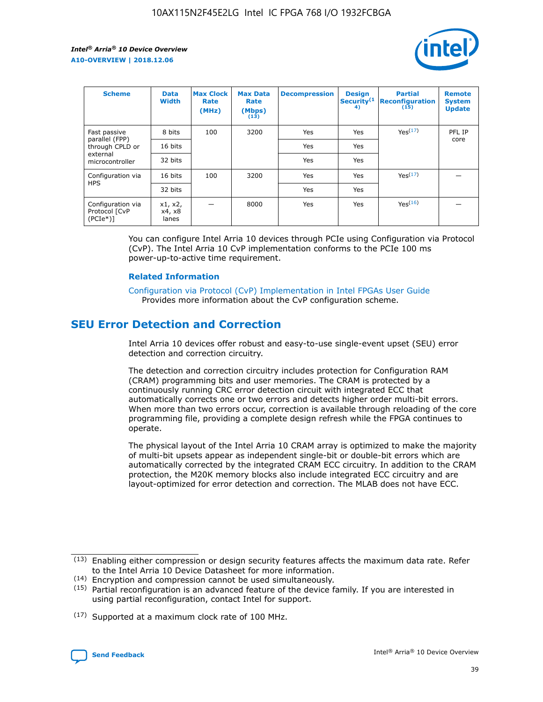![](_page_39_Picture_2.jpeg)

| <b>Scheme</b>                                    | <b>Data</b><br><b>Width</b> | <b>Max Clock</b><br>Rate<br>(MHz) | <b>Max Data</b><br>Rate<br>(Mbps)<br>(13) | <b>Decompression</b> | <b>Design</b><br>Security <sup>(1</sup><br>4) | <b>Partial</b><br><b>Reconfiguration</b><br>(15) | <b>Remote</b><br><b>System</b><br><b>Update</b> |
|--------------------------------------------------|-----------------------------|-----------------------------------|-------------------------------------------|----------------------|-----------------------------------------------|--------------------------------------------------|-------------------------------------------------|
| Fast passive                                     | 8 bits                      | 100                               | 3200                                      | Yes                  | Yes                                           | Yes(17)                                          | PFL IP                                          |
| parallel (FPP)<br>through CPLD or                | 16 bits                     |                                   |                                           | Yes                  | Yes                                           |                                                  | core                                            |
| external<br>microcontroller                      | 32 bits                     |                                   |                                           | Yes                  | Yes                                           |                                                  |                                                 |
| Configuration via                                | 16 bits                     | 100                               | 3200                                      | Yes                  | Yes                                           | Yes <sup>(17)</sup>                              |                                                 |
| <b>HPS</b>                                       | 32 bits                     |                                   |                                           | Yes                  | Yes                                           |                                                  |                                                 |
| Configuration via<br>Protocol [CvP<br>$(PCIe^*)$ | x1, x2,<br>x4, x8<br>lanes  |                                   | 8000                                      | Yes                  | Yes                                           | Yes <sup>(16)</sup>                              |                                                 |

You can configure Intel Arria 10 devices through PCIe using Configuration via Protocol (CvP). The Intel Arria 10 CvP implementation conforms to the PCIe 100 ms power-up-to-active time requirement.

### **Related Information**

[Configuration via Protocol \(CvP\) Implementation in Intel FPGAs User Guide](https://www.intel.com/content/www/us/en/programmable/documentation/dsu1441819344145.html#dsu1442269728522) Provides more information about the CvP configuration scheme.

## **SEU Error Detection and Correction**

Intel Arria 10 devices offer robust and easy-to-use single-event upset (SEU) error detection and correction circuitry.

The detection and correction circuitry includes protection for Configuration RAM (CRAM) programming bits and user memories. The CRAM is protected by a continuously running CRC error detection circuit with integrated ECC that automatically corrects one or two errors and detects higher order multi-bit errors. When more than two errors occur, correction is available through reloading of the core programming file, providing a complete design refresh while the FPGA continues to operate.

The physical layout of the Intel Arria 10 CRAM array is optimized to make the majority of multi-bit upsets appear as independent single-bit or double-bit errors which are automatically corrected by the integrated CRAM ECC circuitry. In addition to the CRAM protection, the M20K memory blocks also include integrated ECC circuitry and are layout-optimized for error detection and correction. The MLAB does not have ECC.

(14) Encryption and compression cannot be used simultaneously.

<sup>(17)</sup> Supported at a maximum clock rate of 100 MHz.

![](_page_39_Picture_15.jpeg)

 $(13)$  Enabling either compression or design security features affects the maximum data rate. Refer to the Intel Arria 10 Device Datasheet for more information.

 $(15)$  Partial reconfiguration is an advanced feature of the device family. If you are interested in using partial reconfiguration, contact Intel for support.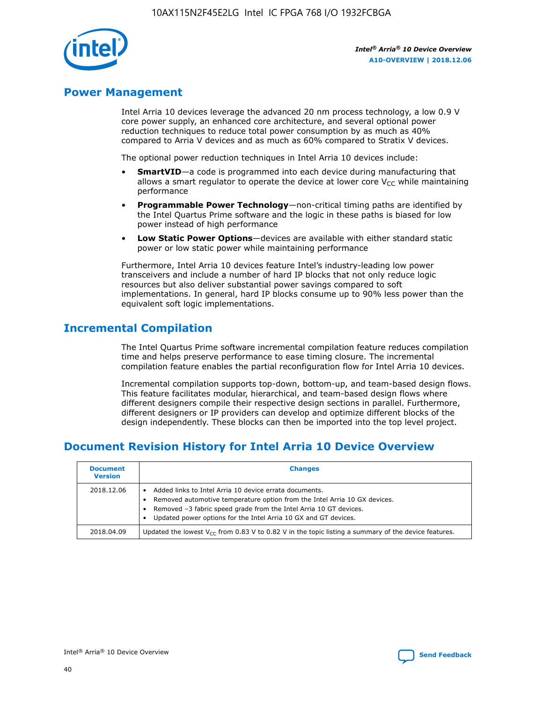![](_page_40_Picture_1.jpeg)

## **Power Management**

Intel Arria 10 devices leverage the advanced 20 nm process technology, a low 0.9 V core power supply, an enhanced core architecture, and several optional power reduction techniques to reduce total power consumption by as much as 40% compared to Arria V devices and as much as 60% compared to Stratix V devices.

The optional power reduction techniques in Intel Arria 10 devices include:

- **SmartVID**—a code is programmed into each device during manufacturing that allows a smart regulator to operate the device at lower core  $V_{CC}$  while maintaining performance
- **Programmable Power Technology**—non-critical timing paths are identified by the Intel Quartus Prime software and the logic in these paths is biased for low power instead of high performance
- **Low Static Power Options**—devices are available with either standard static power or low static power while maintaining performance

Furthermore, Intel Arria 10 devices feature Intel's industry-leading low power transceivers and include a number of hard IP blocks that not only reduce logic resources but also deliver substantial power savings compared to soft implementations. In general, hard IP blocks consume up to 90% less power than the equivalent soft logic implementations.

## **Incremental Compilation**

The Intel Quartus Prime software incremental compilation feature reduces compilation time and helps preserve performance to ease timing closure. The incremental compilation feature enables the partial reconfiguration flow for Intel Arria 10 devices.

Incremental compilation supports top-down, bottom-up, and team-based design flows. This feature facilitates modular, hierarchical, and team-based design flows where different designers compile their respective design sections in parallel. Furthermore, different designers or IP providers can develop and optimize different blocks of the design independently. These blocks can then be imported into the top level project.

# **Document Revision History for Intel Arria 10 Device Overview**

| <b>Document</b><br><b>Version</b> | <b>Changes</b>                                                                                                                                                                                                                                                              |
|-----------------------------------|-----------------------------------------------------------------------------------------------------------------------------------------------------------------------------------------------------------------------------------------------------------------------------|
| 2018.12.06                        | Added links to Intel Arria 10 device errata documents.<br>Removed automotive temperature option from the Intel Arria 10 GX devices.<br>Removed -3 fabric speed grade from the Intel Arria 10 GT devices.<br>Updated power options for the Intel Arria 10 GX and GT devices. |
| 2018.04.09                        | Updated the lowest $V_{CC}$ from 0.83 V to 0.82 V in the topic listing a summary of the device features.                                                                                                                                                                    |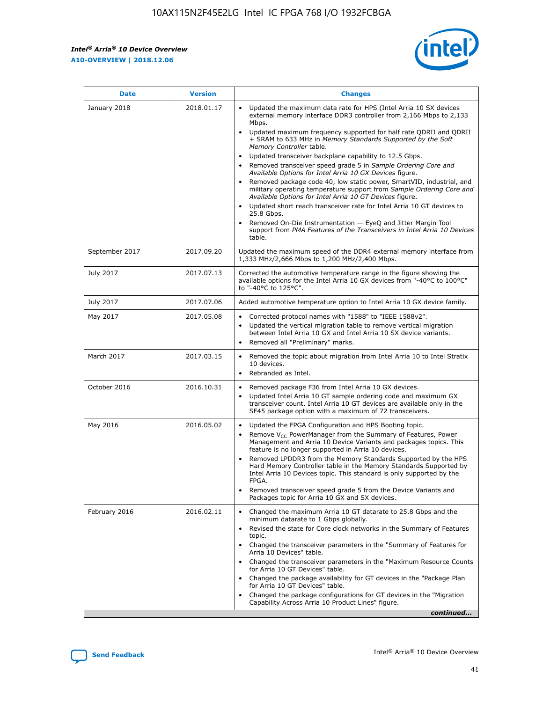$\mathsf{r}$ 

![](_page_41_Picture_2.jpeg)

| January 2018<br>Updated the maximum data rate for HPS (Intel Arria 10 SX devices<br>2018.01.17<br>external memory interface DDR3 controller from 2,166 Mbps to 2,133<br>Mbps.<br>$\bullet$<br>+ SRAM to 633 MHz in Memory Standards Supported by the Soft<br>Memory Controller table.<br>Updated transceiver backplane capability to 12.5 Gbps.<br>$\bullet$<br>Removed transceiver speed grade 5 in Sample Ordering Core and<br>Available Options for Intel Arria 10 GX Devices figure.<br>Available Options for Intel Arria 10 GT Devices figure.<br>Updated short reach transceiver rate for Intel Arria 10 GT devices to<br>$\bullet$<br>25.8 Gbps.<br>Removed On-Die Instrumentation - EyeQ and Jitter Margin Tool<br>table.<br>2017.09.20<br>September 2017<br>1,333 MHz/2,666 Mbps to 1,200 MHz/2,400 Mbps.<br>July 2017<br>2017.07.13<br>Corrected the automotive temperature range in the figure showing the<br>available options for the Intel Arria 10 GX devices from "-40°C to 100°C"<br>to "-40°C to 125°C".<br>July 2017<br>2017.07.06<br>Added automotive temperature option to Intel Arria 10 GX device family.<br>2017.05.08<br>Corrected protocol names with "1588" to "IEEE 1588v2".<br>May 2017<br>$\bullet$<br>Updated the vertical migration table to remove vertical migration<br>$\bullet$<br>between Intel Arria 10 GX and Intel Arria 10 SX device variants.<br>Removed all "Preliminary" marks.<br>2017.03.15<br>March 2017<br>Removed the topic about migration from Intel Arria 10 to Intel Stratix<br>10 devices.<br>Rebranded as Intel.<br>$\bullet$<br>October 2016<br>2016.10.31<br>Removed package F36 from Intel Arria 10 GX devices.<br>$\bullet$<br>Updated Intel Arria 10 GT sample ordering code and maximum GX<br>$\bullet$<br>transceiver count. Intel Arria 10 GT devices are available only in the<br>SF45 package option with a maximum of 72 transceivers.<br>May 2016<br>2016.05.02<br>Updated the FPGA Configuration and HPS Booting topic.<br>Remove $V_{CC}$ PowerManager from the Summary of Features, Power<br>Management and Arria 10 Device Variants and packages topics. This<br>feature is no longer supported in Arria 10 devices.<br>Removed LPDDR3 from the Memory Standards Supported by the HPS<br>Hard Memory Controller table in the Memory Standards Supported by<br>Intel Arria 10 Devices topic. This standard is only supported by the<br>FPGA.<br>Removed transceiver speed grade 5 from the Device Variants and<br>Packages topic for Arria 10 GX and SX devices.<br>Changed the maximum Arria 10 GT datarate to 25.8 Gbps and the<br>February 2016<br>2016.02.11<br>minimum datarate to 1 Gbps globally.<br>Revised the state for Core clock networks in the Summary of Features<br>$\bullet$<br>topic.<br>• Changed the transceiver parameters in the "Summary of Features for<br>Arria 10 Devices" table.<br>for Arria 10 GT Devices" table.<br>• Changed the package availability for GT devices in the "Package Plan<br>for Arria 10 GT Devices" table.<br>Changed the package configurations for GT devices in the "Migration"<br>Capability Across Arria 10 Product Lines" figure. | <b>Date</b> | <b>Version</b> | <b>Changes</b>                                                                                                                                                                                                                                                                               |
|----------------------------------------------------------------------------------------------------------------------------------------------------------------------------------------------------------------------------------------------------------------------------------------------------------------------------------------------------------------------------------------------------------------------------------------------------------------------------------------------------------------------------------------------------------------------------------------------------------------------------------------------------------------------------------------------------------------------------------------------------------------------------------------------------------------------------------------------------------------------------------------------------------------------------------------------------------------------------------------------------------------------------------------------------------------------------------------------------------------------------------------------------------------------------------------------------------------------------------------------------------------------------------------------------------------------------------------------------------------------------------------------------------------------------------------------------------------------------------------------------------------------------------------------------------------------------------------------------------------------------------------------------------------------------------------------------------------------------------------------------------------------------------------------------------------------------------------------------------------------------------------------------------------------------------------------------------------------------------------------------------------------------------------------------------------------------------------------------------------------------------------------------------------------------------------------------------------------------------------------------------------------------------------------------------------------------------------------------------------------------------------------------------------------------------------------------------------------------------------------------------------------------------------------------------------------------------------------------------------------------------------------------------------------------------------------------------------------------------------------------------------------------------------------------------------------------------------------------------------------------------------------------------------------------------------------------------------------------------------------------------------------------------------------------------------------------------------------------------------------------------------------------------------|-------------|----------------|----------------------------------------------------------------------------------------------------------------------------------------------------------------------------------------------------------------------------------------------------------------------------------------------|
|                                                                                                                                                                                                                                                                                                                                                                                                                                                                                                                                                                                                                                                                                                                                                                                                                                                                                                                                                                                                                                                                                                                                                                                                                                                                                                                                                                                                                                                                                                                                                                                                                                                                                                                                                                                                                                                                                                                                                                                                                                                                                                                                                                                                                                                                                                                                                                                                                                                                                                                                                                                                                                                                                                                                                                                                                                                                                                                                                                                                                                                                                                                                                                |             |                | Updated maximum frequency supported for half rate QDRII and QDRII<br>Removed package code 40, low static power, SmartVID, industrial, and<br>military operating temperature support from Sample Ordering Core and<br>support from PMA Features of the Transceivers in Intel Arria 10 Devices |
|                                                                                                                                                                                                                                                                                                                                                                                                                                                                                                                                                                                                                                                                                                                                                                                                                                                                                                                                                                                                                                                                                                                                                                                                                                                                                                                                                                                                                                                                                                                                                                                                                                                                                                                                                                                                                                                                                                                                                                                                                                                                                                                                                                                                                                                                                                                                                                                                                                                                                                                                                                                                                                                                                                                                                                                                                                                                                                                                                                                                                                                                                                                                                                |             |                | Updated the maximum speed of the DDR4 external memory interface from                                                                                                                                                                                                                         |
|                                                                                                                                                                                                                                                                                                                                                                                                                                                                                                                                                                                                                                                                                                                                                                                                                                                                                                                                                                                                                                                                                                                                                                                                                                                                                                                                                                                                                                                                                                                                                                                                                                                                                                                                                                                                                                                                                                                                                                                                                                                                                                                                                                                                                                                                                                                                                                                                                                                                                                                                                                                                                                                                                                                                                                                                                                                                                                                                                                                                                                                                                                                                                                |             |                |                                                                                                                                                                                                                                                                                              |
|                                                                                                                                                                                                                                                                                                                                                                                                                                                                                                                                                                                                                                                                                                                                                                                                                                                                                                                                                                                                                                                                                                                                                                                                                                                                                                                                                                                                                                                                                                                                                                                                                                                                                                                                                                                                                                                                                                                                                                                                                                                                                                                                                                                                                                                                                                                                                                                                                                                                                                                                                                                                                                                                                                                                                                                                                                                                                                                                                                                                                                                                                                                                                                |             |                |                                                                                                                                                                                                                                                                                              |
|                                                                                                                                                                                                                                                                                                                                                                                                                                                                                                                                                                                                                                                                                                                                                                                                                                                                                                                                                                                                                                                                                                                                                                                                                                                                                                                                                                                                                                                                                                                                                                                                                                                                                                                                                                                                                                                                                                                                                                                                                                                                                                                                                                                                                                                                                                                                                                                                                                                                                                                                                                                                                                                                                                                                                                                                                                                                                                                                                                                                                                                                                                                                                                |             |                |                                                                                                                                                                                                                                                                                              |
|                                                                                                                                                                                                                                                                                                                                                                                                                                                                                                                                                                                                                                                                                                                                                                                                                                                                                                                                                                                                                                                                                                                                                                                                                                                                                                                                                                                                                                                                                                                                                                                                                                                                                                                                                                                                                                                                                                                                                                                                                                                                                                                                                                                                                                                                                                                                                                                                                                                                                                                                                                                                                                                                                                                                                                                                                                                                                                                                                                                                                                                                                                                                                                |             |                |                                                                                                                                                                                                                                                                                              |
|                                                                                                                                                                                                                                                                                                                                                                                                                                                                                                                                                                                                                                                                                                                                                                                                                                                                                                                                                                                                                                                                                                                                                                                                                                                                                                                                                                                                                                                                                                                                                                                                                                                                                                                                                                                                                                                                                                                                                                                                                                                                                                                                                                                                                                                                                                                                                                                                                                                                                                                                                                                                                                                                                                                                                                                                                                                                                                                                                                                                                                                                                                                                                                |             |                |                                                                                                                                                                                                                                                                                              |
|                                                                                                                                                                                                                                                                                                                                                                                                                                                                                                                                                                                                                                                                                                                                                                                                                                                                                                                                                                                                                                                                                                                                                                                                                                                                                                                                                                                                                                                                                                                                                                                                                                                                                                                                                                                                                                                                                                                                                                                                                                                                                                                                                                                                                                                                                                                                                                                                                                                                                                                                                                                                                                                                                                                                                                                                                                                                                                                                                                                                                                                                                                                                                                |             |                |                                                                                                                                                                                                                                                                                              |
|                                                                                                                                                                                                                                                                                                                                                                                                                                                                                                                                                                                                                                                                                                                                                                                                                                                                                                                                                                                                                                                                                                                                                                                                                                                                                                                                                                                                                                                                                                                                                                                                                                                                                                                                                                                                                                                                                                                                                                                                                                                                                                                                                                                                                                                                                                                                                                                                                                                                                                                                                                                                                                                                                                                                                                                                                                                                                                                                                                                                                                                                                                                                                                |             |                | Changed the transceiver parameters in the "Maximum Resource Counts"<br>continued                                                                                                                                                                                                             |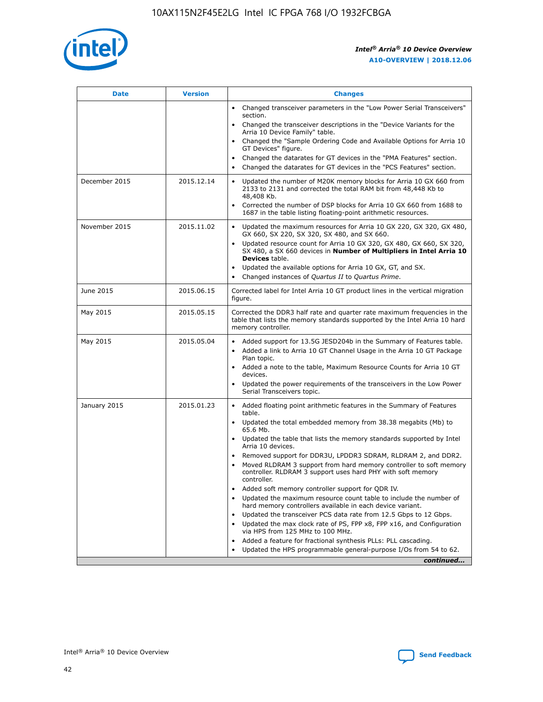![](_page_42_Picture_1.jpeg)

| <b>Date</b>   | <b>Version</b> | <b>Changes</b>                                                                                                                                                               |
|---------------|----------------|------------------------------------------------------------------------------------------------------------------------------------------------------------------------------|
|               |                | Changed transceiver parameters in the "Low Power Serial Transceivers"<br>$\bullet$<br>section.                                                                               |
|               |                | • Changed the transceiver descriptions in the "Device Variants for the<br>Arria 10 Device Family" table.                                                                     |
|               |                | • Changed the "Sample Ordering Code and Available Options for Arria 10<br>GT Devices" figure.                                                                                |
|               |                | Changed the datarates for GT devices in the "PMA Features" section.                                                                                                          |
|               |                | Changed the datarates for GT devices in the "PCS Features" section.<br>$\bullet$                                                                                             |
| December 2015 | 2015.12.14     | Updated the number of M20K memory blocks for Arria 10 GX 660 from<br>2133 to 2131 and corrected the total RAM bit from 48,448 Kb to<br>48,408 Kb.                            |
|               |                | Corrected the number of DSP blocks for Arria 10 GX 660 from 1688 to<br>$\bullet$<br>1687 in the table listing floating-point arithmetic resources.                           |
| November 2015 | 2015.11.02     | Updated the maximum resources for Arria 10 GX 220, GX 320, GX 480,<br>GX 660, SX 220, SX 320, SX 480, and SX 660.                                                            |
|               |                | Updated resource count for Arria 10 GX 320, GX 480, GX 660, SX 320,<br>SX 480, a SX 660 devices in Number of Multipliers in Intel Arria 10<br><b>Devices</b> table.          |
|               |                | Updated the available options for Arria 10 GX, GT, and SX.<br>$\bullet$                                                                                                      |
|               |                | Changed instances of Quartus II to Quartus Prime.<br>$\bullet$                                                                                                               |
| June 2015     | 2015.06.15     | Corrected label for Intel Arria 10 GT product lines in the vertical migration<br>figure.                                                                                     |
| May 2015      | 2015.05.15     | Corrected the DDR3 half rate and quarter rate maximum frequencies in the<br>table that lists the memory standards supported by the Intel Arria 10 hard<br>memory controller. |
| May 2015      | 2015.05.04     | • Added support for 13.5G JESD204b in the Summary of Features table.                                                                                                         |
|               |                | Added a link to Arria 10 GT Channel Usage in the Arria 10 GT Package<br>$\bullet$<br>Plan topic.                                                                             |
|               |                | • Added a note to the table, Maximum Resource Counts for Arria 10 GT<br>devices.                                                                                             |
|               |                | • Updated the power requirements of the transceivers in the Low Power<br>Serial Transceivers topic.                                                                          |
| January 2015  | 2015.01.23     | • Added floating point arithmetic features in the Summary of Features<br>table.                                                                                              |
|               |                | • Updated the total embedded memory from 38.38 megabits (Mb) to<br>65.6 Mb.                                                                                                  |
|               |                | • Updated the table that lists the memory standards supported by Intel<br>Arria 10 devices.                                                                                  |
|               |                | Removed support for DDR3U, LPDDR3 SDRAM, RLDRAM 2, and DDR2.                                                                                                                 |
|               |                | Moved RLDRAM 3 support from hard memory controller to soft memory<br>controller. RLDRAM 3 support uses hard PHY with soft memory<br>controller.                              |
|               |                | Added soft memory controller support for QDR IV.                                                                                                                             |
|               |                | Updated the maximum resource count table to include the number of<br>hard memory controllers available in each device variant.                                               |
|               |                | Updated the transceiver PCS data rate from 12.5 Gbps to 12 Gbps.                                                                                                             |
|               |                | Updated the max clock rate of PS, FPP x8, FPP x16, and Configuration<br>via HPS from 125 MHz to 100 MHz.                                                                     |
|               |                | Added a feature for fractional synthesis PLLs: PLL cascading.                                                                                                                |
|               |                | Updated the HPS programmable general-purpose I/Os from 54 to 62.<br>$\bullet$                                                                                                |
|               |                | continued                                                                                                                                                                    |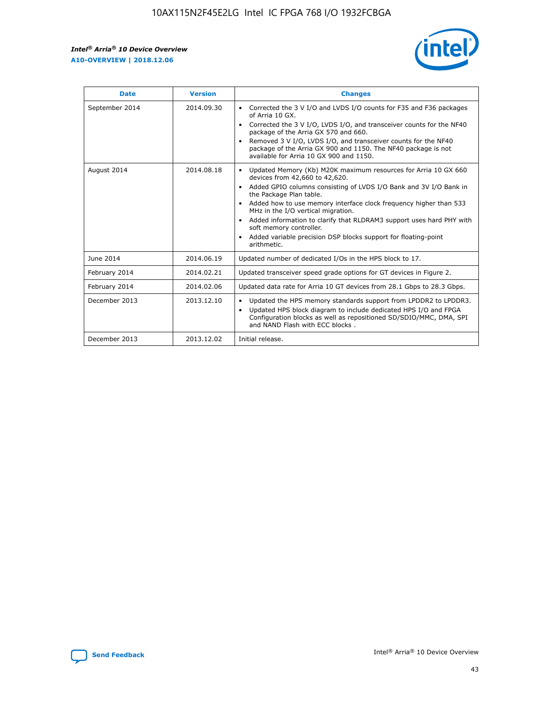![](_page_43_Picture_2.jpeg)

| <b>Date</b>    | <b>Version</b> | <b>Changes</b>                                                                                                                                                                                                                                                                                                                                                                                                                                                                                                                                      |
|----------------|----------------|-----------------------------------------------------------------------------------------------------------------------------------------------------------------------------------------------------------------------------------------------------------------------------------------------------------------------------------------------------------------------------------------------------------------------------------------------------------------------------------------------------------------------------------------------------|
| September 2014 | 2014.09.30     | Corrected the 3 V I/O and LVDS I/O counts for F35 and F36 packages<br>$\bullet$<br>of Arria 10 GX.<br>Corrected the 3 V I/O, LVDS I/O, and transceiver counts for the NF40<br>$\bullet$<br>package of the Arria GX 570 and 660.<br>Removed 3 V I/O, LVDS I/O, and transceiver counts for the NF40<br>$\bullet$<br>package of the Arria GX 900 and 1150. The NF40 package is not<br>available for Arria 10 GX 900 and 1150.                                                                                                                          |
| August 2014    | 2014.08.18     | Updated Memory (Kb) M20K maximum resources for Arria 10 GX 660<br>devices from 42,660 to 42,620.<br>Added GPIO columns consisting of LVDS I/O Bank and 3V I/O Bank in<br>$\bullet$<br>the Package Plan table.<br>Added how to use memory interface clock frequency higher than 533<br>$\bullet$<br>MHz in the I/O vertical migration.<br>Added information to clarify that RLDRAM3 support uses hard PHY with<br>$\bullet$<br>soft memory controller.<br>Added variable precision DSP blocks support for floating-point<br>$\bullet$<br>arithmetic. |
| June 2014      | 2014.06.19     | Updated number of dedicated I/Os in the HPS block to 17.                                                                                                                                                                                                                                                                                                                                                                                                                                                                                            |
| February 2014  | 2014.02.21     | Updated transceiver speed grade options for GT devices in Figure 2.                                                                                                                                                                                                                                                                                                                                                                                                                                                                                 |
| February 2014  | 2014.02.06     | Updated data rate for Arria 10 GT devices from 28.1 Gbps to 28.3 Gbps.                                                                                                                                                                                                                                                                                                                                                                                                                                                                              |
| December 2013  | 2013.12.10     | Updated the HPS memory standards support from LPDDR2 to LPDDR3.<br>Updated HPS block diagram to include dedicated HPS I/O and FPGA<br>$\bullet$<br>Configuration blocks as well as repositioned SD/SDIO/MMC, DMA, SPI<br>and NAND Flash with ECC blocks.                                                                                                                                                                                                                                                                                            |
| December 2013  | 2013.12.02     | Initial release.                                                                                                                                                                                                                                                                                                                                                                                                                                                                                                                                    |

![](_page_43_Picture_4.jpeg)